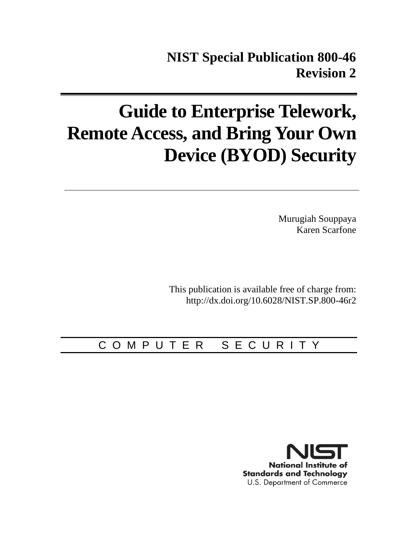# **Guide to Enterprise Telework, Remote Access, and Bring Your Own Device (BYOD) Security**

Murugiah Souppaya Karen Scarfone

This publication is available free of charge from: http://dx.doi.org/10.6028/NIST.SP.800-46r2

## C O M P U T E R S E C U R I T Y

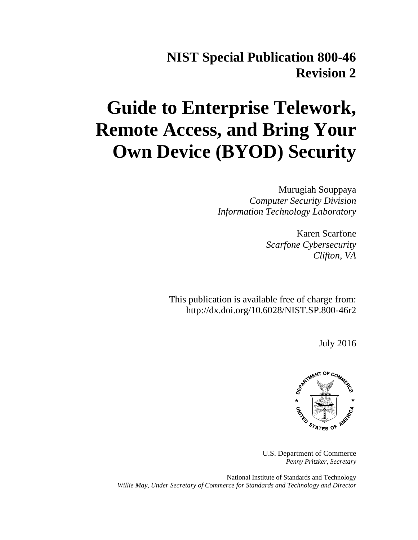## **NIST Special Publication 800-46 Revision 2**

## **Guide to Enterprise Telework, Remote Access, and Bring Your Own Device (BYOD) Security**

Murugiah Souppaya *Computer Security Division Information Technology Laboratory*

> Karen Scarfone *Scarfone Cybersecurity Clifton, VA*

This publication is available free of charge from: http://dx.doi.org/10.6028/NIST.SP.800-46r2

July 2016



U.S. Department of Commerce *Penny Pritzker, Secretary*

National Institute of Standards and Technology *Willie May, Under Secretary of Commerce for Standards and Technology and Director*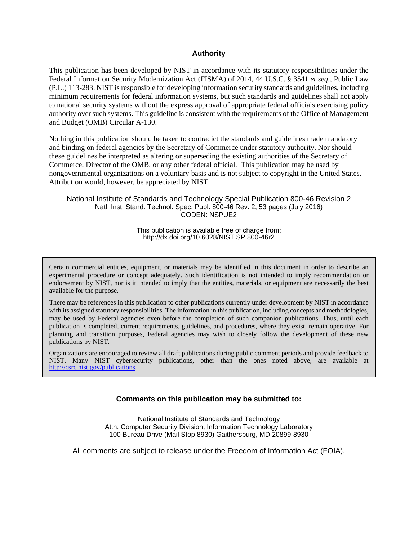#### **Authority**

This publication has been developed by NIST in accordance with its statutory responsibilities under the Federal Information Security Modernization Act (FISMA) of 2014, 44 U.S.C. § 3541 *et seq.*, Public Law (P.L.) 113-283. NIST is responsible for developing information security standards and guidelines, including minimum requirements for federal information systems, but such standards and guidelines shall not apply to national security systems without the express approval of appropriate federal officials exercising policy authority over such systems. This guideline is consistent with the requirements of the Office of Management and Budget (OMB) Circular A-130.

Nothing in this publication should be taken to contradict the standards and guidelines made mandatory and binding on federal agencies by the Secretary of Commerce under statutory authority. Nor should these guidelines be interpreted as altering or superseding the existing authorities of the Secretary of Commerce, Director of the OMB, or any other federal official. This publication may be used by nongovernmental organizations on a voluntary basis and is not subject to copyright in the United States. Attribution would, however, be appreciated by NIST.

National Institute of Standards and Technology Special Publication 800-46 Revision 2 Natl. Inst. Stand. Technol. Spec. Publ. 800-46 Rev. 2, 53 pages (July 2016) CODEN: NSPUE2

> This publication is available free of charge from: http://dx.doi.org/10.6028/NIST.SP.800-46r2

Certain commercial entities, equipment, or materials may be identified in this document in order to describe an experimental procedure or concept adequately. Such identification is not intended to imply recommendation or endorsement by NIST, nor is it intended to imply that the entities, materials, or equipment are necessarily the best available for the purpose.

There may be references in this publication to other publications currently under development by NIST in accordance with its assigned statutory responsibilities. The information in this publication, including concepts and methodologies, may be used by Federal agencies even before the completion of such companion publications. Thus, until each publication is completed, current requirements, guidelines, and procedures, where they exist, remain operative. For planning and transition purposes, Federal agencies may wish to closely follow the development of these new publications by NIST.

Organizations are encouraged to review all draft publications during public comment periods and provide feedback to NIST. Many NIST cybersecurity publications, other than the ones noted above, are available at [http://csrc.nist.gov/publications.](http://csrc.nist.gov/publications)

#### **Comments on this publication may be submitted to:**

National Institute of Standards and Technology Attn: Computer Security Division, Information Technology Laboratory 100 Bureau Drive (Mail Stop 8930) Gaithersburg, MD 20899-8930

All comments are subject to release under the Freedom of Information Act (FOIA).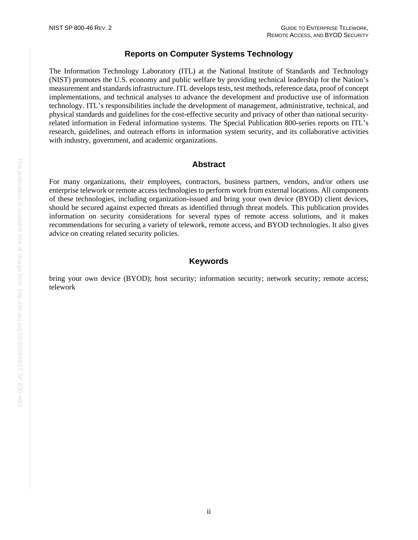#### **Reports on Computer Systems Technology**

The Information Technology Laboratory (ITL) at the National Institute of Standards and Technology (NIST) promotes the U.S. economy and public welfare by providing technical leadership for the Nation's measurement and standards infrastructure. ITL develops tests, test methods, reference data, proof of concept implementations, and technical analyses to advance the development and productive use of information technology. ITL's responsibilities include the development of management, administrative, technical, and physical standards and guidelines for the cost-effective security and privacy of other than national securityrelated information in Federal information systems. The Special Publication 800-series reports on ITL's research, guidelines, and outreach efforts in information system security, and its collaborative activities with industry, government, and academic organizations.

#### **Abstract**

For many organizations, their employees, contractors, business partners, vendors, and/or others use enterprise telework or remote access technologies to perform work from external locations. All components of these technologies, including organization-issued and bring your own device (BYOD) client devices, should be secured against expected threats as identified through threat models. This publication provides information on security considerations for several types of remote access solutions, and it makes recommendations for securing a variety of telework, remote access, and BYOD technologies. It also gives advice on creating related security policies.

#### **Keywords**

bring your own device (BYOD); host security; information security; network security; remote access; telework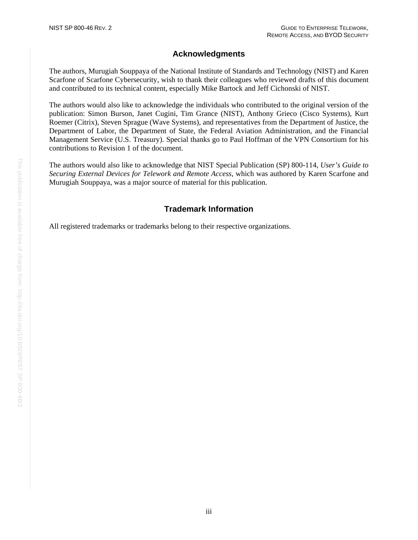#### **Acknowledgments**

The authors, Murugiah Souppaya of the National Institute of Standards and Technology (NIST) and Karen Scarfone of Scarfone Cybersecurity, wish to thank their colleagues who reviewed drafts of this document and contributed to its technical content, especially Mike Bartock and Jeff Cichonski of NIST.

The authors would also like to acknowledge the individuals who contributed to the original version of the publication: Simon Burson, Janet Cugini, Tim Grance (NIST), Anthony Grieco (Cisco Systems), Kurt Roemer (Citrix), Steven Sprague (Wave Systems), and representatives from the Department of Justice, the Department of Labor, the Department of State, the Federal Aviation Administration, and the Financial Management Service (U.S. Treasury). Special thanks go to Paul Hoffman of the VPN Consortium for his contributions to Revision 1 of the document.

The authors would also like to acknowledge that NIST Special Publication (SP) 800-114, *User's Guide to Securing External Devices for Telework and Remote Access*, which was authored by Karen Scarfone and Murugiah Souppaya, was a major source of material for this publication.

#### **Trademark Information**

All registered trademarks or trademarks belong to their respective organizations.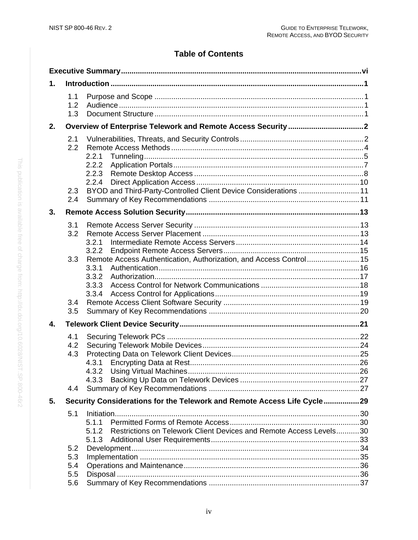#### **Table of Contents**

| 1.               |                                        |                                                                                                                          |  |  |
|------------------|----------------------------------------|--------------------------------------------------------------------------------------------------------------------------|--|--|
|                  | 1.1<br>1.2<br>1.3                      |                                                                                                                          |  |  |
| 2.               |                                        |                                                                                                                          |  |  |
|                  | 2.1<br>2.2<br>2.3<br>2.4               | 2.2.1<br>2.2.2<br>2.2.3<br>2.2.4<br>BYOD and Third-Party-Controlled Client Device Considerations  11                     |  |  |
| 3.               |                                        |                                                                                                                          |  |  |
|                  | 3.1<br>3.2<br>3.3                      | 3.2.1<br>3.2.2<br>Remote Access Authentication, Authorization, and Access Control 15<br>3.3.1<br>3.3.2<br>3.3.3<br>3.3.4 |  |  |
|                  | 3.4<br>3.5                             |                                                                                                                          |  |  |
| $\overline{4}$ . |                                        |                                                                                                                          |  |  |
|                  | 4.1<br>4.2<br>4.3<br>4.4               | 4.3.1<br>4.3.3                                                                                                           |  |  |
| 5.               |                                        | Security Considerations for the Telework and Remote Access Life Cycle29                                                  |  |  |
|                  | 5.1<br>5.2<br>5.3<br>5.4<br>5.5<br>5.6 | 5.1.1<br>Restrictions on Telework Client Devices and Remote Access Levels30<br>5.1.2<br>5.1.3                            |  |  |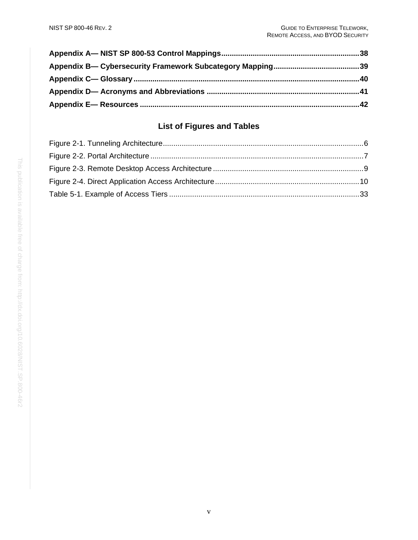## **List of Figures and Tables**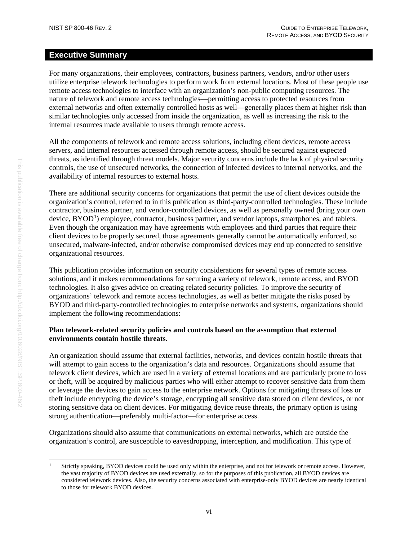#### <span id="page-7-0"></span>**Executive Summary**

For many organizations, their employees, contractors, business partners, vendors, and/or other users utilize enterprise telework technologies to perform work from external locations. Most of these people use remote access technologies to interface with an organization's non-public computing resources. The nature of telework and remote access technologies—permitting access to protected resources from external networks and often externally controlled hosts as well—generally places them at higher risk than similar technologies only accessed from inside the organization, as well as increasing the risk to the internal resources made available to users through remote access.

All the components of telework and remote access solutions, including client devices, remote access servers, and internal resources accessed through remote access, should be secured against expected threats, as identified through threat models. Major security concerns include the lack of physical security controls, the use of unsecured networks, the connection of infected devices to internal networks, and the availability of internal resources to external hosts.

There are additional security concerns for organizations that permit the use of client devices outside the organization's control, referred to in this publication as third-party-controlled technologies. These include contractor, business partner, and vendor-controlled devices, as well as personally owned (bring your own device, BYOD<sup>[1](#page-7-1)</sup>) employee, contractor, business partner, and vendor laptops, smartphones, and tablets. Even though the organization may have agreements with employees and third parties that require their client devices to be properly secured, those agreements generally cannot be automatically enforced, so unsecured, malware-infected, and/or otherwise compromised devices may end up connected to sensitive organizational resources.

This publication provides information on security considerations for several types of remote access solutions, and it makes recommendations for securing a variety of telework, remote access, and BYOD technologies. It also gives advice on creating related security policies. To improve the security of organizations' telework and remote access technologies, as well as better mitigate the risks posed by BYOD and third-party-controlled technologies to enterprise networks and systems, organizations should implement the following recommendations:

#### **Plan telework-related security policies and controls based on the assumption that external environments contain hostile threats.**

An organization should assume that external facilities, networks, and devices contain hostile threats that will attempt to gain access to the organization's data and resources. Organizations should assume that telework client devices, which are used in a variety of external locations and are particularly prone to loss or theft, will be acquired by malicious parties who will either attempt to recover sensitive data from them or leverage the devices to gain access to the enterprise network. Options for mitigating threats of loss or theft include encrypting the device's storage, encrypting all sensitive data stored on client devices, or not storing sensitive data on client devices. For mitigating device reuse threats, the primary option is using strong authentication—preferably multi-factor—for enterprise access.

Organizations should also assume that communications on external networks, which are outside the organization's control, are susceptible to eavesdropping, interception, and modification. This type of

<span id="page-7-1"></span> <sup>1</sup> Strictly speaking, BYOD devices could be used only within the enterprise, and not for telework or remote access. However, the vast majority of BYOD devices are used externally, so for the purposes of this publication, all BYOD devices are considered telework devices. Also, the security concerns associated with enterprise-only BYOD devices are nearly identical to those for telework BYOD devices.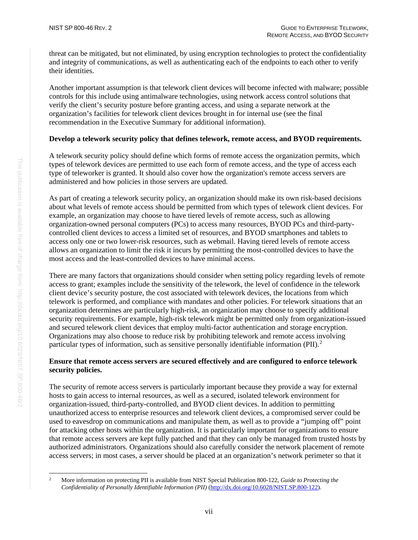threat can be mitigated, but not eliminated, by using encryption technologies to protect the confidentiality and integrity of communications, as well as authenticating each of the endpoints to each other to verify their identities.

Another important assumption is that telework client devices will become infected with malware; possible controls for this include using antimalware technologies, using network access control solutions that verify the client's security posture before granting access, and using a separate network at the organization's facilities for telework client devices brought in for internal use (see the final recommendation in the Executive Summary for additional information).

#### **Develop a telework security policy that defines telework, remote access, and BYOD requirements.**

A telework security policy should define which forms of remote access the organization permits, which types of telework devices are permitted to use each form of remote access, and the type of access each type of teleworker is granted. It should also cover how the organization's remote access servers are administered and how policies in those servers are updated.

As part of creating a telework security policy, an organization should make its own risk-based decisions about what levels of remote access should be permitted from which types of telework client devices. For example, an organization may choose to have tiered levels of remote access, such as allowing organization-owned personal computers (PCs) to access many resources, BYOD PCs and third-partycontrolled client devices to access a limited set of resources, and BYOD smartphones and tablets to access only one or two lower-risk resources, such as webmail. Having tiered levels of remote access allows an organization to limit the risk it incurs by permitting the most-controlled devices to have the most access and the least-controlled devices to have minimal access.

There are many factors that organizations should consider when setting policy regarding levels of remote access to grant; examples include the sensitivity of the telework, the level of confidence in the telework client device's security posture, the cost associated with telework devices, the locations from which telework is performed, and compliance with mandates and other policies. For telework situations that an organization determines are particularly high-risk, an organization may choose to specify additional security requirements. For example, high-risk telework might be permitted only from organization-issued and secured telework client devices that employ multi-factor authentication and storage encryption. Organizations may also choose to reduce risk by prohibiting telework and remote access involving particular types of information, such as sensitive personally identifiable information  $(PII)$ .<sup>[2](#page-8-0)</sup>

#### **Ensure that remote access servers are secured effectively and are configured to enforce telework security policies.**

The security of remote access servers is particularly important because they provide a way for external hosts to gain access to internal resources, as well as a secured, isolated telework environment for organization-issued, third-party-controlled, and BYOD client devices. In addition to permitting unauthorized access to enterprise resources and telework client devices, a compromised server could be used to eavesdrop on communications and manipulate them, as well as to provide a "jumping off" point for attacking other hosts within the organization. It is particularly important for organizations to ensure that remote access servers are kept fully patched and that they can only be managed from trusted hosts by authorized administrators. Organizations should also carefully consider the network placement of remote access servers; in most cases, a server should be placed at an organization's network perimeter so that it

<span id="page-8-0"></span> <sup>2</sup> More information on protecting PII is available from NIST Special Publication 800-122, *Guide to Protecting the Confidentiality of Personally Identifiable Information (PII)* [\(http://dx.doi.org/10.6028/NIST.SP.800-122\)](http://dx.doi.org/10.6028/NIST.SP.800-122).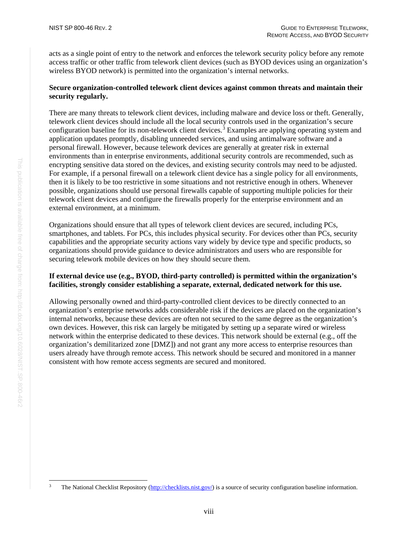acts as a single point of entry to the network and enforces the telework security policy before any remote access traffic or other traffic from telework client devices (such as BYOD devices using an organization's wireless BYOD network) is permitted into the organization's internal networks.

#### **Secure organization-controlled telework client devices against common threats and maintain their security regularly.**

There are many threats to telework client devices, including malware and device loss or theft. Generally, telework client devices should include all the local security controls used in the organization's secure configuration baseline for its non-telework client devices.<sup>[3](#page-9-0)</sup> Examples are applying operating system and application updates promptly, disabling unneeded services, and using antimalware software and a personal firewall. However, because telework devices are generally at greater risk in external environments than in enterprise environments, additional security controls are recommended, such as encrypting sensitive data stored on the devices, and existing security controls may need to be adjusted. For example, if a personal firewall on a telework client device has a single policy for all environments, then it is likely to be too restrictive in some situations and not restrictive enough in others. Whenever possible, organizations should use personal firewalls capable of supporting multiple policies for their telework client devices and configure the firewalls properly for the enterprise environment and an external environment, at a minimum.

Organizations should ensure that all types of telework client devices are secured, including PCs, smartphones, and tablets. For PCs, this includes physical security. For devices other than PCs, security capabilities and the appropriate security actions vary widely by device type and specific products, so organizations should provide guidance to device administrators and users who are responsible for securing telework mobile devices on how they should secure them.

#### **If external device use (e.g., BYOD, third-party controlled) is permitted within the organization's facilities, strongly consider establishing a separate, external, dedicated network for this use.**

Allowing personally owned and third-party-controlled client devices to be directly connected to an organization's enterprise networks adds considerable risk if the devices are placed on the organization's internal networks, because these devices are often not secured to the same degree as the organization's own devices. However, this risk can largely be mitigated by setting up a separate wired or wireless network within the enterprise dedicated to these devices. This network should be external (e.g., off the organization's demilitarized zone [DMZ]) and not grant any more access to enterprise resources than users already have through remote access. This network should be secured and monitored in a manner consistent with how remote access segments are secured and monitored.

<span id="page-9-0"></span>The National Checklist Repository [\(http://checklists.nist.gov/\)](http://checklists.nist.gov/) is a source of security configuration baseline information.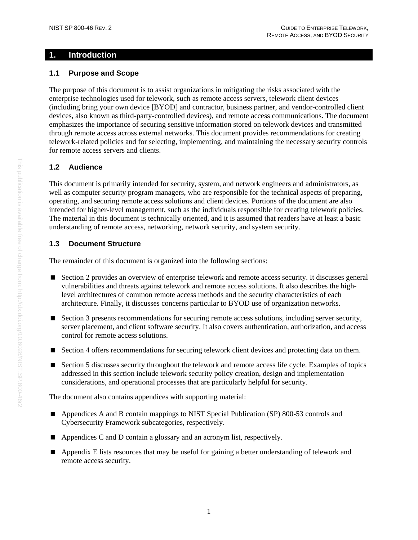#### <span id="page-10-0"></span>**1. Introduction**

#### <span id="page-10-1"></span>**1.1 Purpose and Scope**

The purpose of this document is to assist organizations in mitigating the risks associated with the enterprise technologies used for telework, such as remote access servers, telework client devices (including bring your own device [BYOD] and contractor, business partner, and vendor-controlled client devices, also known as third-party-controlled devices), and remote access communications. The document emphasizes the importance of securing sensitive information stored on telework devices and transmitted through remote access across external networks. This document provides recommendations for creating telework-related policies and for selecting, implementing, and maintaining the necessary security controls for remote access servers and clients.

#### <span id="page-10-2"></span>**1.2 Audience**

This document is primarily intended for security, system, and network engineers and administrators, as well as computer security program managers, who are responsible for the technical aspects of preparing, operating, and securing remote access solutions and client devices. Portions of the document are also intended for higher-level management, such as the individuals responsible for creating telework policies. The material in this document is technically oriented, and it is assumed that readers have at least a basic understanding of remote access, networking, network security, and system security.

#### <span id="page-10-3"></span>**1.3 Document Structure**

The remainder of this document is organized into the following sections:

- Section [2](#page-11-0) provides an overview of enterprise telework and remote access security. It discusses general vulnerabilities and threats against telework and remote access solutions. It also describes the highlevel architectures of common remote access methods and the security characteristics of each architecture. Finally, it discusses concerns particular to BYOD use of organization networks.
- Section [3](#page-22-0) presents recommendations for securing remote access solutions, including server security, server placement, and client software security. It also covers authentication, authorization, and access control for remote access solutions.
- Section [4](#page-30-0) offers recommendations for securing telework client devices and protecting data on them.
- Section [5](#page-38-0) discusses security throughout the telework and remote access life cycle. Examples of topics addressed in this section include telework security policy creation, design and implementation considerations, and operational processes that are particularly helpful for security.

The document also contains appendices with supporting material:

- **Appendices [A](#page-47-0) and [B](#page-48-0) contain mappings to NIST Special Publication (SP) 800-53 controls and** Cybersecurity Framework subcategories, respectively.
- Appendices [C](#page-49-0) and [D](#page-50-0) contain a glossary and an acronym list, respectively.
- **Appendix [E](#page-51-0) lists resources that may be useful for gaining a better understanding of telework and** remote access security.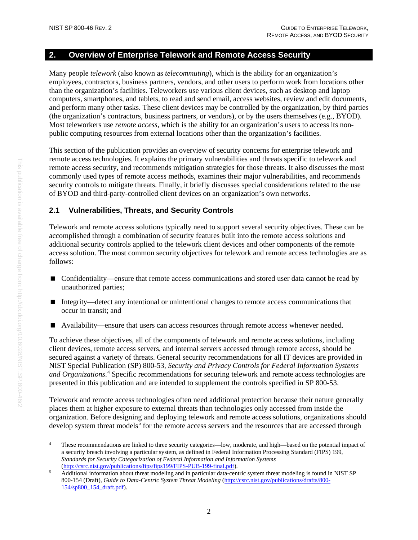#### <span id="page-11-0"></span>**2. Overview of Enterprise Telework and Remote Access Security**

Many people *telework* (also known as *telecommuting*), which is the ability for an organization's employees, contractors, business partners, vendors, and other users to perform work from locations other than the organization's facilities. Teleworkers use various client devices, such as desktop and laptop computers, smartphones, and tablets, to read and send email, access websites, review and edit documents, and perform many other tasks. These client devices may be controlled by the organization, by third parties (the organization's contractors, business partners, or vendors), or by the users themselves (e.g., BYOD). Most teleworkers use *remote access*, which is the ability for an organization's users to access its nonpublic computing resources from external locations other than the organization's facilities.

This section of the publication provides an overview of security concerns for enterprise telework and remote access technologies. It explains the primary vulnerabilities and threats specific to telework and remote access security, and recommends mitigation strategies for those threats. It also discusses the most commonly used types of remote access methods, examines their major vulnerabilities, and recommends security controls to mitigate threats. Finally, it briefly discusses special considerations related to the use of BYOD and third-party-controlled client devices on an organization's own networks.

#### <span id="page-11-1"></span>**2.1 Vulnerabilities, Threats, and Security Controls**

Telework and remote access solutions typically need to support several security objectives. These can be accomplished through a combination of security features built into the remote access solutions and additional security controls applied to the telework client devices and other components of the remote access solution. The most common security objectives for telework and remote access technologies are as follows:

- Confidentiality—ensure that remote access communications and stored user data cannot be read by unauthorized parties;
- Integrity—detect any intentional or unintentional changes to remote access communications that occur in transit; and
- Availability—ensure that users can access resources through remote access whenever needed.

To achieve these objectives, all of the components of telework and remote access solutions, including client devices, remote access servers, and internal servers accessed through remote access, should be secured against a variety of threats. General security recommendations for all IT devices are provided in NIST Special Publication (SP) 800-53, *Security and Privacy Controls for Federal Information Systems and Organizations*. [4](#page-11-2) Specific recommendations for securing telework and remote access technologies are presented in this publication and are intended to supplement the controls specified in SP 800-53.

Telework and remote access technologies often need additional protection because their nature generally places them at higher exposure to external threats than technologies only accessed from inside the organization. Before designing and deploying telework and remote access solutions, organizations should develop system threat models<sup>[5](#page-11-3)</sup> for the remote access servers and the resources that are accessed through

<span id="page-11-2"></span><sup>&</sup>lt;sup>4</sup> These recommendations are linked to three security categories—low, moderate, and high—based on the potential impact of a security breach involving a particular system, as defined in Federal Information Processing Standard (FIPS) 199, *Standards for Security Categorization of Federal Information and Information Systems* [\(http://csrc.nist.gov/publications/fips/fips199/FIPS-PUB-199-final.pdf\)](http://csrc.nist.gov/publications/fips/fips199/FIPS-PUB-199-final.pdf).

<span id="page-11-3"></span><sup>&</sup>lt;sup>5</sup> Additional information about threat modeling and in particular data-centric system threat modeling is found in NIST SP 800-154 (Draft), *Guide to Data-Centric System Threat Modeling* [\(http://csrc.nist.gov/publications/drafts/800-](http://csrc.nist.gov/publications/drafts/800-154/sp800_154_draft.pdf) [154/sp800\\_154\\_draft.pdf\)](http://csrc.nist.gov/publications/drafts/800-154/sp800_154_draft.pdf).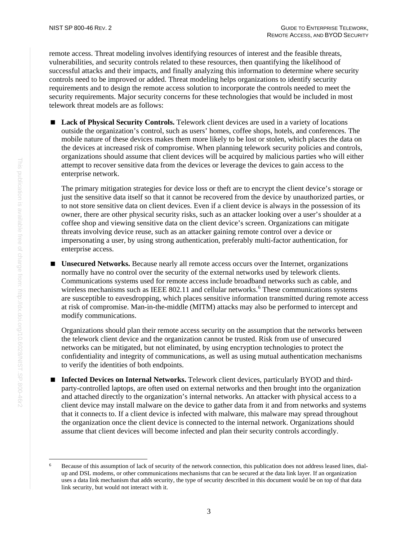remote access. Threat modeling involves identifying resources of interest and the feasible threats, vulnerabilities, and security controls related to these resources, then quantifying the likelihood of successful attacks and their impacts, and finally analyzing this information to determine where security controls need to be improved or added. Threat modeling helps organizations to identify security requirements and to design the remote access solution to incorporate the controls needed to meet the security requirements. Major security concerns for these technologies that would be included in most telework threat models are as follows:

 **Lack of Physical Security Controls.** Telework client devices are used in a variety of locations outside the organization's control, such as users' homes, coffee shops, hotels, and conferences. The mobile nature of these devices makes them more likely to be lost or stolen, which places the data on the devices at increased risk of compromise. When planning telework security policies and controls, organizations should assume that client devices will be acquired by malicious parties who will either attempt to recover sensitive data from the devices or leverage the devices to gain access to the enterprise network.

The primary mitigation strategies for device loss or theft are to encrypt the client device's storage or just the sensitive data itself so that it cannot be recovered from the device by unauthorized parties, or to not store sensitive data on client devices. Even if a client device is always in the possession of its owner, there are other physical security risks, such as an attacker looking over a user's shoulder at a coffee shop and viewing sensitive data on the client device's screen. Organizations can mitigate threats involving device reuse, such as an attacker gaining remote control over a device or impersonating a user, by using strong authentication, preferably multi-factor authentication, for enterprise access.

**Unsecured Networks.** Because nearly all remote access occurs over the Internet, organizations normally have no control over the security of the external networks used by telework clients. Communications systems used for remote access include broadband networks such as cable, and wireless mechanisms such as IEEE 802.11 and cellular networks.<sup>[6](#page-12-0)</sup> These communications systems are susceptible to eavesdropping, which places sensitive information transmitted during remote access at risk of compromise. Man-in-the-middle (MITM) attacks may also be performed to intercept and modify communications.

Organizations should plan their remote access security on the assumption that the networks between the telework client device and the organization cannot be trusted. Risk from use of unsecured networks can be mitigated, but not eliminated, by using encryption technologies to protect the confidentiality and integrity of communications, as well as using mutual authentication mechanisms to verify the identities of both endpoints.

 **Infected Devices on Internal Networks.** Telework client devices, particularly BYOD and thirdparty-controlled laptops, are often used on external networks and then brought into the organization and attached directly to the organization's internal networks. An attacker with physical access to a client device may install malware on the device to gather data from it and from networks and systems that it connects to. If a client device is infected with malware, this malware may spread throughout the organization once the client device is connected to the internal network. Organizations should assume that client devices will become infected and plan their security controls accordingly.

<span id="page-12-0"></span> <sup>6</sup> Because of this assumption of lack of security of the network connection, this publication does not address leased lines, dialup and DSL modems, or other communications mechanisms that can be secured at the data link layer. If an organization uses a data link mechanism that adds security, the type of security described in this document would be on top of that data link security, but would not interact with it.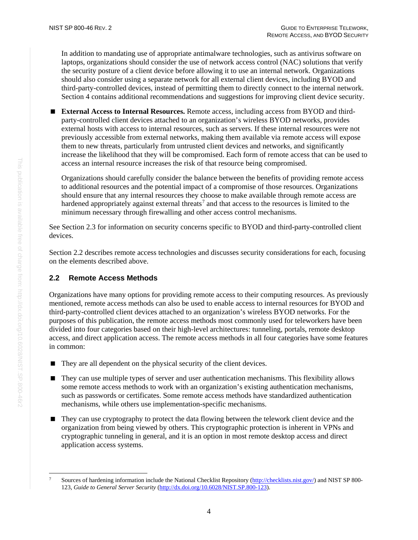In addition to mandating use of appropriate antimalware technologies, such as antivirus software on laptops, organizations should consider the use of network access control (NAC) solutions that verify the security posture of a client device before allowing it to use an internal network. Organizations should also consider using a separate network for all external client devices, including BYOD and third-party-controlled devices, instead of permitting them to directly connect to the internal network. Section 4 contains additional recommendations and suggestions for improving client device security.

■ **External Access to Internal Resources.** Remote access, including access from BYOD and thirdparty-controlled client devices attached to an organization's wireless BYOD networks, provides external hosts with access to internal resources, such as servers. If these internal resources were not previously accessible from external networks, making them available via remote access will expose them to new threats, particularly from untrusted client devices and networks, and significantly increase the likelihood that they will be compromised. Each form of remote access that can be used to access an internal resource increases the risk of that resource being compromised.

Organizations should carefully consider the balance between the benefits of providing remote access to additional resources and the potential impact of a compromise of those resources. Organizations should ensure that any internal resources they choose to make available through remote access are hardened appropriately against external threats<sup>[7](#page-13-1)</sup> and that access to the resources is limited to the minimum necessary through firewalling and other access control mechanisms.

See Section [2.3](#page-20-0) for information on security concerns specific to BYOD and third-party-controlled client devices.

Section [2.2](#page-13-0) describes remote access technologies and discusses security considerations for each, focusing on the elements described above.

#### <span id="page-13-0"></span>**2.2 Remote Access Methods**

Organizations have many options for providing remote access to their computing resources. As previously mentioned, remote access methods can also be used to enable access to internal resources for BYOD and third-party-controlled client devices attached to an organization's wireless BYOD networks. For the purposes of this publication, the remote access methods most commonly used for teleworkers have been divided into four categories based on their high-level architectures: tunneling, portals, remote desktop access, and direct application access. The remote access methods in all four categories have some features in common:

- They are all dependent on the physical security of the client devices.
- They can use multiple types of server and user authentication mechanisms. This flexibility allows some remote access methods to work with an organization's existing authentication mechanisms, such as passwords or certificates. Some remote access methods have standardized authentication mechanisms, while others use implementation-specific mechanisms.
- They can use cryptography to protect the data flowing between the telework client device and the organization from being viewed by others. This cryptographic protection is inherent in VPNs and cryptographic tunneling in general, and it is an option in most remote desktop access and direct application access systems.

<span id="page-13-1"></span>Sources of hardening information include the National Checklist Repository [\(http://checklists.nist.gov/\)](http://checklists.nist.gov/) and NIST SP 800-123, *Guide to General Server Security* [\(http://dx.doi.org/10.6028/NIST.SP.800-123\)](http://dx.doi.org/10.6028/NIST.SP.800-123).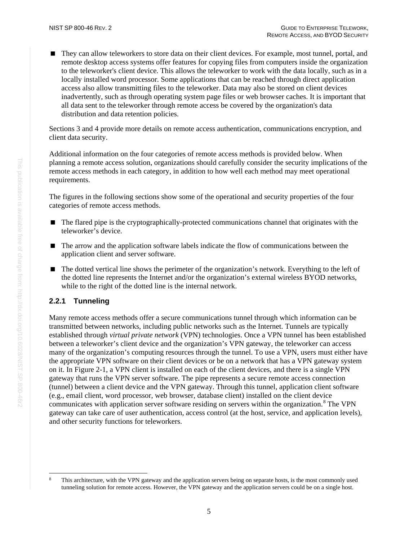They can allow teleworkers to store data on their client devices. For example, most tunnel, portal, and remote desktop access systems offer features for copying files from computers inside the organization to the teleworker's client device. This allows the teleworker to work with the data locally, such as in a locally installed word processor. Some applications that can be reached through direct application access also allow transmitting files to the teleworker. Data may also be stored on client devices inadvertently, such as through operating system page files or web browser caches. It is important that all data sent to the teleworker through remote access be covered by the organization's data distribution and data retention policies.

Sections [3](#page-22-0) and [4](#page-30-0) provide more details on remote access authentication, communications encryption, and client data security.

Additional information on the four categories of remote access methods is provided below. When planning a remote access solution, organizations should carefully consider the security implications of the remote access methods in each category, in addition to how well each method may meet operational requirements.

The figures in the following sections show some of the operational and security properties of the four categories of remote access methods.

- The flared pipe is the cryptographically-protected communications channel that originates with the teleworker's device.
- The arrow and the application software labels indicate the flow of communications between the application client and server software.
- The dotted vertical line shows the perimeter of the organization's network. Everything to the left of the dotted line represents the Internet and/or the organization's external wireless BYOD networks, while to the right of the dotted line is the internal network.

#### <span id="page-14-0"></span>**2.2.1 Tunneling**

Many remote access methods offer a secure communications tunnel through which information can be transmitted between networks, including public networks such as the Internet. Tunnels are typically established through *virtual private network* (VPN) technologies. Once a VPN tunnel has been established between a teleworker's client device and the organization's VPN gateway, the teleworker can access many of the organization's computing resources through the tunnel. To use a VPN, users must either have the appropriate VPN software on their client devices or be on a network that has a VPN gateway system on it. In Figure 2-1, a VPN client is installed on each of the client devices, and there is a single VPN gateway that runs the VPN server software. The pipe represents a secure remote access connection (tunnel) between a client device and the VPN gateway. Through this tunnel, application client software (e.g., email client, word processor, web browser, database client) installed on the client device communicates with application server software residing on servers within the organization.<sup>[8](#page-14-1)</sup> The VPN gateway can take care of user authentication, access control (at the host, service, and application levels), and other security functions for teleworkers.

<span id="page-14-1"></span>This architecture, with the VPN gateway and the application servers being on separate hosts, is the most commonly used tunneling solution for remote access. However, the VPN gateway and the application servers could be on a single host.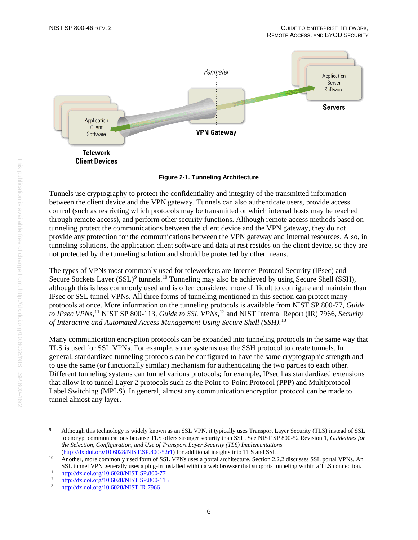

**Figure 2-1. Tunneling Architecture**

<span id="page-15-0"></span>Tunnels use cryptography to protect the confidentiality and integrity of the transmitted information between the client device and the VPN gateway. Tunnels can also authenticate users, provide access control (such as restricting which protocols may be transmitted or which internal hosts may be reached through remote access), and perform other security functions. Although remote access methods based on tunneling protect the communications between the client device and the VPN gateway, they do not provide any protection for the communications between the VPN gateway and internal resources. Also, in tunneling solutions, the application client software and data at rest resides on the client device, so they are not protected by the tunneling solution and should be protected by other means.

The types of VPNs most commonly used for teleworkers are Internet Protocol Security (IPsec) and Secure Sockets Layer (SSL)<sup>[9](#page-15-1)</sup> tunnels.<sup>[10](#page-15-2)</sup> Tunneling may also be achieved by using Secure Shell (SSH), although this is less commonly used and is often considered more difficult to configure and maintain than IPsec or SSL tunnel VPNs. All three forms of tunneling mentioned in this section can protect many protocols at once. More information on the tunneling protocols is available from NIST SP 800-77, *Guide to IPsec VPNs*, [11](#page-15-3) NIST SP 800-113, *Guide to SSL VPNs*, [12](#page-15-4) and NIST Internal Report (IR) 7966, *Security of Interactive and Automated Access Management Using Secure Shell (SSH)*. [13](#page-15-5)

Many communication encryption protocols can be expanded into tunneling protocols in the same way that TLS is used for SSL VPNs. For example, some systems use the SSH protocol to create tunnels. In general, standardized tunneling protocols can be configured to have the same cryptographic strength and to use the same (or functionally similar) mechanism for authenticating the two parties to each other. Different tunneling systems can tunnel various protocols; for example, IPsec has standardized extensions that allow it to tunnel Layer 2 protocols such as the Point-to-Point Protocol (PPP) and Multiprotocol Label Switching (MPLS). In general, almost any communication encryption protocol can be made to tunnel almost any layer.

<span id="page-15-1"></span> <sup>9</sup> Although this technology is widely known as an SSL VPN, it typically uses Transport Layer Security (TLS) instead of SSL to encrypt communications because TLS offers stronger security than SSL. See NIST SP 800-52 Revision 1, *Guidelines for the Selection, Configuration, and Use of Transport Layer Security (TLS) Implementations* [\(http://dx.doi.org/10.6028/NIST.SP.800-52r1\)](http://dx.doi.org/10.6028/NIST.SP.800-52r1) for additional insights into TLS and SSL.

<span id="page-15-2"></span><sup>&</sup>lt;sup>10</sup> Another, more commonly used form of SSL VPNs uses a portal architecture. Sectio[n 2.2.2](#page-16-0) discusses SSL portal VPNs. An SSL tunnel VPN generally uses a plug-in installed within a web browser that supports tunneling within a TLS connection.

<span id="page-15-4"></span><span id="page-15-3"></span> $\frac{\text{http://dx.doi.org/10.6028/NIST.SP.800-77}}{\text{http://dx.doi.org/10.6028/NIST.SP.800-113}}$  $\frac{\text{http://dx.doi.org/10.6028/NIST.SP.800-77}}{\text{http://dx.doi.org/10.6028/NIST.SP.800-113}}$  $\frac{\text{http://dx.doi.org/10.6028/NIST.SP.800-77}}{\text{http://dx.doi.org/10.6028/NIST.SP.800-113}}$ 

<span id="page-15-5"></span> $13$  <http://dx.doi.org/10.6028/NIST.IR.7966>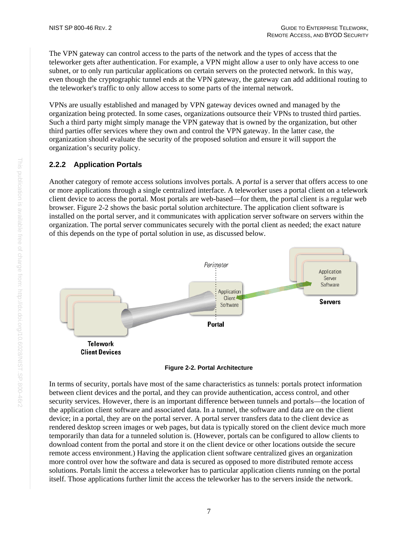The VPN gateway can control access to the parts of the network and the types of access that the teleworker gets after authentication. For example, a VPN might allow a user to only have access to one subnet, or to only run particular applications on certain servers on the protected network. In this way, even though the cryptographic tunnel ends at the VPN gateway, the gateway can add additional routing to the teleworker's traffic to only allow access to some parts of the internal network.

VPNs are usually established and managed by VPN gateway devices owned and managed by the organization being protected. In some cases, organizations outsource their VPNs to trusted third parties. Such a third party might simply manage the VPN gateway that is owned by the organization, but other third parties offer services where they own and control the VPN gateway. In the latter case, the organization should evaluate the security of the proposed solution and ensure it will support the organization's security policy.

#### <span id="page-16-0"></span>**2.2.2 Application Portals**

Another category of remote access solutions involves portals. A *portal* is a server that offers access to one or more applications through a single centralized interface. A teleworker uses a portal client on a telework client device to access the portal. Most portals are web-based—for them, the portal client is a regular web browser. Figure 2-2 shows the basic portal solution architecture. The application client software is installed on the portal server, and it communicates with application server software on servers within the organization. The portal server communicates securely with the portal client as needed; the exact nature of this depends on the type of portal solution in use, as discussed below.



**Figure 2-2. Portal Architecture**

<span id="page-16-1"></span>In terms of security, portals have most of the same characteristics as tunnels: portals protect information between client devices and the portal, and they can provide authentication, access control, and other security services. However, there is an important difference between tunnels and portals—the location of the application client software and associated data. In a tunnel, the software and data are on the client device; in a portal, they are on the portal server. A portal server transfers data to the client device as rendered desktop screen images or web pages, but data is typically stored on the client device much more temporarily than data for a tunneled solution is. (However, portals can be configured to allow clients to download content from the portal and store it on the client device or other locations outside the secure remote access environment.) Having the application client software centralized gives an organization more control over how the software and data is secured as opposed to more distributed remote access solutions. Portals limit the access a teleworker has to particular application clients running on the portal itself. Those applications further limit the access the teleworker has to the servers inside the network.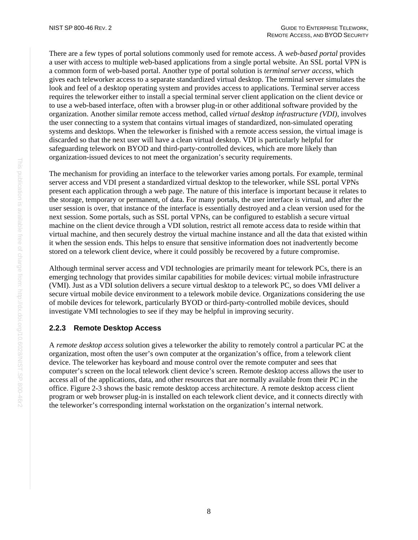There are a few types of portal solutions commonly used for remote access. A *web-based portal* provides a user with access to multiple web-based applications from a single portal website. An SSL portal VPN is a common form of web-based portal. Another type of portal solution is *terminal server access*, which gives each teleworker access to a separate standardized virtual desktop. The terminal server simulates the look and feel of a desktop operating system and provides access to applications. Terminal server access requires the teleworker either to install a special terminal server client application on the client device or to use a web-based interface, often with a browser plug-in or other additional software provided by the organization. Another similar remote access method, called *virtual desktop infrastructure (VDI)*, involves the user connecting to a system that contains virtual images of standardized, non-simulated operating systems and desktops. When the teleworker is finished with a remote access session, the virtual image is discarded so that the next user will have a clean virtual desktop. VDI is particularly helpful for safeguarding telework on BYOD and third-party-controlled devices, which are more likely than organization-issued devices to not meet the organization's security requirements.

The mechanism for providing an interface to the teleworker varies among portals. For example, terminal server access and VDI present a standardized virtual desktop to the teleworker, while SSL portal VPNs present each application through a web page. The nature of this interface is important because it relates to the storage, temporary or permanent, of data. For many portals, the user interface is virtual, and after the user session is over, that instance of the interface is essentially destroyed and a clean version used for the next session. Some portals, such as SSL portal VPNs, can be configured to establish a secure virtual machine on the client device through a VDI solution, restrict all remote access data to reside within that virtual machine, and then securely destroy the virtual machine instance and all the data that existed within it when the session ends. This helps to ensure that sensitive information does not inadvertently become stored on a telework client device, where it could possibly be recovered by a future compromise.

Although terminal server access and VDI technologies are primarily meant for telework PCs, there is an emerging technology that provides similar capabilities for mobile devices: virtual mobile infrastructure (VMI). Just as a VDI solution delivers a secure virtual desktop to a telework PC, so does VMI deliver a secure virtual mobile device environment to a telework mobile device. Organizations considering the use of mobile devices for telework, particularly BYOD or third-party-controlled mobile devices, should investigate VMI technologies to see if they may be helpful in improving security.

#### <span id="page-17-0"></span>**2.2.3 Remote Desktop Access**

A *remote desktop access* solution gives a teleworker the ability to remotely control a particular PC at the organization, most often the user's own computer at the organization's office, from a telework client device. The teleworker has keyboard and mouse control over the remote computer and sees that computer's screen on the local telework client device's screen. Remote desktop access allows the user to access all of the applications, data, and other resources that are normally available from their PC in the office. Figure 2-3 shows the basic remote desktop access architecture. A remote desktop access client program or web browser plug-in is installed on each telework client device, and it connects directly with the teleworker's corresponding internal workstation on the organization's internal network.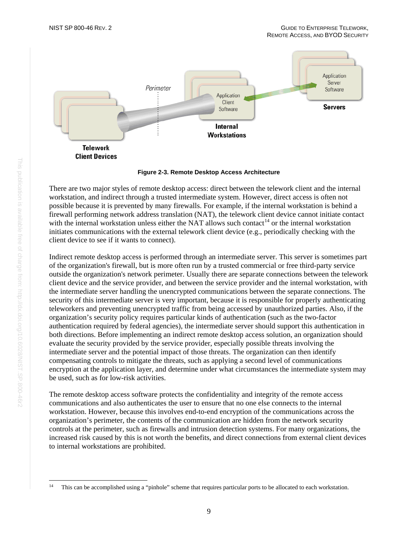

**Figure 2-3. Remote Desktop Access Architecture**

<span id="page-18-0"></span>There are two major styles of remote desktop access: direct between the telework client and the internal workstation, and indirect through a trusted intermediate system. However, direct access is often not possible because it is prevented by many firewalls. For example, if the internal workstation is behind a firewall performing network address translation (NAT), the telework client device cannot initiate contact with the internal workstation unless either the NAT allows such contact<sup>[14](#page-18-1)</sup> or the internal workstation initiates communications with the external telework client device (e.g., periodically checking with the client device to see if it wants to connect).

Indirect remote desktop access is performed through an intermediate server. This server is sometimes part of the organization's firewall, but is more often run by a trusted commercial or free third-party service outside the organization's network perimeter. Usually there are separate connections between the telework client device and the service provider, and between the service provider and the internal workstation, with the intermediate server handling the unencrypted communications between the separate connections. The security of this intermediate server is very important, because it is responsible for properly authenticating teleworkers and preventing unencrypted traffic from being accessed by unauthorized parties. Also, if the organization's security policy requires particular kinds of authentication (such as the two-factor authentication required by federal agencies), the intermediate server should support this authentication in both directions. Before implementing an indirect remote desktop access solution, an organization should evaluate the security provided by the service provider, especially possible threats involving the intermediate server and the potential impact of those threats. The organization can then identify compensating controls to mitigate the threats, such as applying a second level of communications encryption at the application layer, and determine under what circumstances the intermediate system may be used, such as for low-risk activities.

The remote desktop access software protects the confidentiality and integrity of the remote access communications and also authenticates the user to ensure that no one else connects to the internal workstation. However, because this involves end-to-end encryption of the communications across the organization's perimeter, the contents of the communication are hidden from the network security controls at the perimeter, such as firewalls and intrusion detection systems. For many organizations, the increased risk caused by this is not worth the benefits, and direct connections from external client devices to internal workstations are prohibited.

<span id="page-18-1"></span>This can be accomplished using a "pinhole" scheme that requires particular ports to be allocated to each workstation.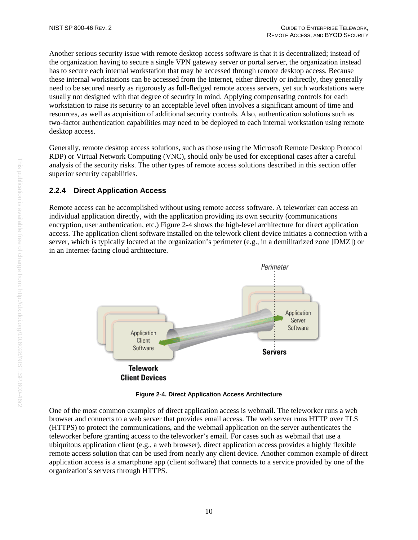Another serious security issue with remote desktop access software is that it is decentralized; instead of the organization having to secure a single VPN gateway server or portal server, the organization instead has to secure each internal workstation that may be accessed through remote desktop access. Because these internal workstations can be accessed from the Internet, either directly or indirectly, they generally need to be secured nearly as rigorously as full-fledged remote access servers, yet such workstations were usually not designed with that degree of security in mind. Applying compensating controls for each workstation to raise its security to an acceptable level often involves a significant amount of time and resources, as well as acquisition of additional security controls. Also, authentication solutions such as two-factor authentication capabilities may need to be deployed to each internal workstation using remote desktop access.

Generally, remote desktop access solutions, such as those using the Microsoft Remote Desktop Protocol RDP) or Virtual Network Computing (VNC), should only be used for exceptional cases after a careful analysis of the security risks. The other types of remote access solutions described in this section offer superior security capabilities.

#### <span id="page-19-0"></span>**2.2.4 Direct Application Access**

Remote access can be accomplished without using remote access software. A teleworker can access an individual application directly, with the application providing its own security (communications encryption, user authentication, etc.) Figure 2-4 shows the high-level architecture for direct application access. The application client software installed on the telework client device initiates a connection with a server, which is typically located at the organization's perimeter (e.g., in a demilitarized zone [DMZ]) or in an Internet-facing cloud architecture.



**Figure 2-4. Direct Application Access Architecture**

<span id="page-19-1"></span>One of the most common examples of direct application access is webmail. The teleworker runs a web browser and connects to a web server that provides email access. The web server runs HTTP over TLS (HTTPS) to protect the communications, and the webmail application on the server authenticates the teleworker before granting access to the teleworker's email. For cases such as webmail that use a ubiquitous application client (e.g., a web browser), direct application access provides a highly flexible remote access solution that can be used from nearly any client device. Another common example of direct application access is a smartphone app (client software) that connects to a service provided by one of the organization's servers through HTTPS.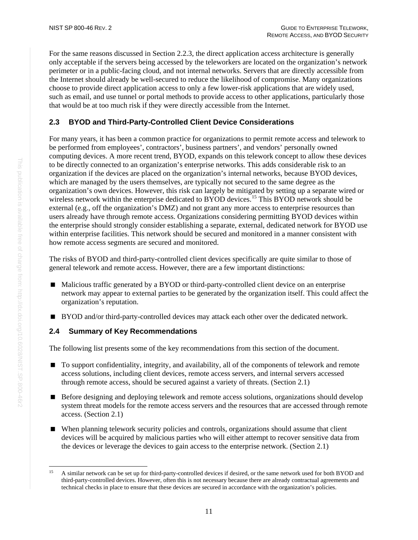For the same reasons discussed in Section [2.2.3,](#page-17-0) the direct application access architecture is generally only acceptable if the servers being accessed by the teleworkers are located on the organization's network perimeter or in a public-facing cloud, and not internal networks. Servers that are directly accessible from the Internet should already be well-secured to reduce the likelihood of compromise. Many organizations choose to provide direct application access to only a few lower-risk applications that are widely used, such as email, and use tunnel or portal methods to provide access to other applications, particularly those that would be at too much risk if they were directly accessible from the Internet.

#### <span id="page-20-0"></span>**2.3 BYOD and Third-Party-Controlled Client Device Considerations**

For many years, it has been a common practice for organizations to permit remote access and telework to be performed from employees', contractors', business partners', and vendors' personally owned computing devices. A more recent trend, BYOD, expands on this telework concept to allow these devices to be directly connected to an organization's enterprise networks. This adds considerable risk to an organization if the devices are placed on the organization's internal networks, because BYOD devices, which are managed by the users themselves, are typically not secured to the same degree as the organization's own devices. However, this risk can largely be mitigated by setting up a separate wired or wireless network within the enterprise dedicated to BYOD devices.<sup>[15](#page-20-2)</sup> This BYOD network should be external (e.g., off the organization's DMZ) and not grant any more access to enterprise resources than users already have through remote access. Organizations considering permitting BYOD devices within the enterprise should strongly consider establishing a separate, external, dedicated network for BYOD use within enterprise facilities. This network should be secured and monitored in a manner consistent with how remote access segments are secured and monitored.

The risks of BYOD and third-party-controlled client devices specifically are quite similar to those of general telework and remote access. However, there are a few important distinctions:

- Malicious traffic generated by a BYOD or third-party-controlled client device on an enterprise network may appear to external parties to be generated by the organization itself. This could affect the organization's reputation.
- **BYOD** and/or third-party-controlled devices may attack each other over the dedicated network.

#### <span id="page-20-1"></span>**2.4 Summary of Key Recommendations**

The following list presents some of the key recommendations from this section of the document.

- $\blacksquare$  To support confidentiality, integrity, and availability, all of the components of telework and remote access solutions, including client devices, remote access servers, and internal servers accessed through remote access, should be secured against a variety of threats. (Section [2.1\)](#page-11-1)
- **Before designing and deploying telework and remote access solutions, organizations should develop** system threat models for the remote access servers and the resources that are accessed through remote access. (Section [2.1\)](#page-11-1)
- When planning telework security policies and controls, organizations should assume that client devices will be acquired by malicious parties who will either attempt to recover sensitive data from the devices or leverage the devices to gain access to the enterprise network. (Section [2.1\)](#page-11-1)

<span id="page-20-2"></span><sup>&</sup>lt;sup>15</sup> A similar network can be set up for third-party-controlled devices if desired, or the same network used for both BYOD and third-party-controlled devices. However, often this is not necessary because there are already contractual agreements and technical checks in place to ensure that these devices are secured in accordance with the organization's policies.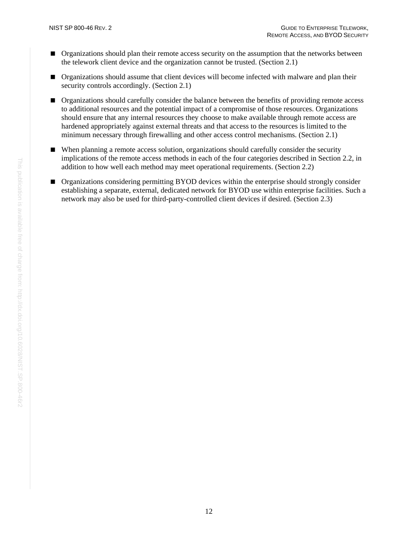- **Organizations should plan their remote access security on the assumption that the networks between** the telework client device and the organization cannot be trusted. (Section [2.1\)](#page-11-1)
- **Organizations should assume that client devices will become infected with malware and plan their** security controls accordingly. (Section [2.1\)](#page-11-1)
- **Organizations should carefully consider the balance between the benefits of providing remote access** to additional resources and the potential impact of a compromise of those resources. Organizations should ensure that any internal resources they choose to make available through remote access are hardened appropriately against external threats and that access to the resources is limited to the minimum necessary through firewalling and other access control mechanisms. (Section [2.1\)](#page-11-1)
- When planning a remote access solution, organizations should carefully consider the security implications of the remote access methods in each of the four categories described in Section [2.2,](#page-13-0) in addition to how well each method may meet operational requirements. (Section [2.2\)](#page-13-0)
- **Organizations considering permitting BYOD devices within the enterprise should strongly consider** establishing a separate, external, dedicated network for BYOD use within enterprise facilities. Such a network may also be used for third-party-controlled client devices if desired. (Section [2.3\)](#page-20-0)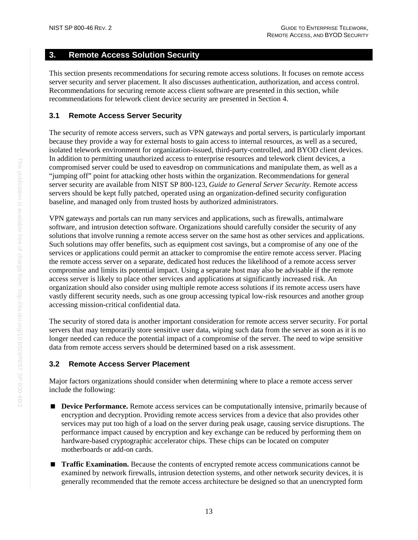#### <span id="page-22-0"></span>**3. Remote Access Solution Security**

This section presents recommendations for securing remote access solutions. It focuses on remote access server security and server placement. It also discusses authentication, authorization, and access control. Recommendations for securing remote access client software are presented in this section, while recommendations for telework client device security are presented in Section [4.](#page-30-0)

#### <span id="page-22-1"></span>**3.1 Remote Access Server Security**

The security of remote access servers, such as VPN gateways and portal servers, is particularly important because they provide a way for external hosts to gain access to internal resources, as well as a secured, isolated telework environment for organization-issued, third-party-controlled, and BYOD client devices. In addition to permitting unauthorized access to enterprise resources and telework client devices, a compromised server could be used to eavesdrop on communications and manipulate them, as well as a "jumping off" point for attacking other hosts within the organization. Recommendations for general server security are available from NIST SP 800-123, *Guide to General Server Security*. Remote access servers should be kept fully patched, operated using an organization-defined security configuration baseline, and managed only from trusted hosts by authorized administrators.

VPN gateways and portals can run many services and applications, such as firewalls, antimalware software, and intrusion detection software. Organizations should carefully consider the security of any solutions that involve running a remote access server on the same host as other services and applications. Such solutions may offer benefits, such as equipment cost savings, but a compromise of any one of the services or applications could permit an attacker to compromise the entire remote access server. Placing the remote access server on a separate, dedicated host reduces the likelihood of a remote access server compromise and limits its potential impact. Using a separate host may also be advisable if the remote access server is likely to place other services and applications at significantly increased risk. An organization should also consider using multiple remote access solutions if its remote access users have vastly different security needs, such as one group accessing typical low-risk resources and another group accessing mission-critical confidential data.

The security of stored data is another important consideration for remote access server security. For portal servers that may temporarily store sensitive user data, wiping such data from the server as soon as it is no longer needed can reduce the potential impact of a compromise of the server. The need to wipe sensitive data from remote access servers should be determined based on a risk assessment.

#### <span id="page-22-2"></span>**3.2 Remote Access Server Placement**

Major factors organizations should consider when determining where to place a remote access server include the following:

- **Device Performance.** Remote access services can be computationally intensive, primarily because of encryption and decryption. Providing remote access services from a device that also provides other services may put too high of a load on the server during peak usage, causing service disruptions. The performance impact caused by encryption and key exchange can be reduced by performing them on hardware-based cryptographic accelerator chips. These chips can be located on computer motherboards or add-on cards.
- **Traffic Examination.** Because the contents of encrypted remote access communications cannot be examined by network firewalls, intrusion detection systems, and other network security devices, it is generally recommended that the remote access architecture be designed so that an unencrypted form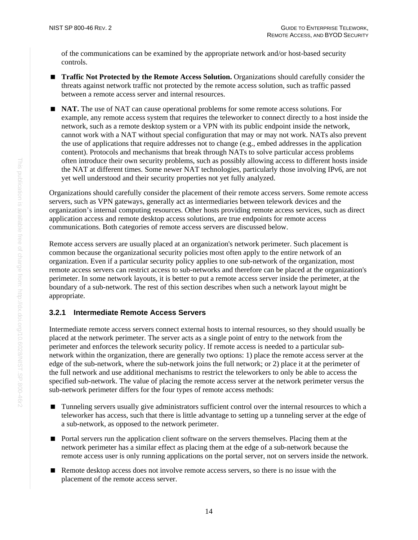of the communications can be examined by the appropriate network and/or host-based security controls.

- **Traffic Not Protected by the Remote Access Solution.** Organizations should carefully consider the threats against network traffic not protected by the remote access solution, such as traffic passed between a remote access server and internal resources.
- **NAT.** The use of NAT can cause operational problems for some remote access solutions. For example, any remote access system that requires the teleworker to connect directly to a host inside the network, such as a remote desktop system or a VPN with its public endpoint inside the network, cannot work with a NAT without special configuration that may or may not work. NATs also prevent the use of applications that require addresses not to change (e.g., embed addresses in the application content). Protocols and mechanisms that break through NATs to solve particular access problems often introduce their own security problems, such as possibly allowing access to different hosts inside the NAT at different times. Some newer NAT technologies, particularly those involving IPv6, are not yet well understood and their security properties not yet fully analyzed.

Organizations should carefully consider the placement of their remote access servers. Some remote access servers, such as VPN gateways, generally act as intermediaries between telework devices and the organization's internal computing resources. Other hosts providing remote access services, such as direct application access and remote desktop access solutions, are true endpoints for remote access communications. Both categories of remote access servers are discussed below.

Remote access servers are usually placed at an organization's network perimeter. Such placement is common because the organizational security policies most often apply to the entire network of an organization. Even if a particular security policy applies to one sub-network of the organization, most remote access servers can restrict access to sub-networks and therefore can be placed at the organization's perimeter. In some network layouts, it is better to put a remote access server inside the perimeter, at the boundary of a sub-network. The rest of this section describes when such a network layout might be appropriate.

#### <span id="page-23-0"></span>**3.2.1 Intermediate Remote Access Servers**

Intermediate remote access servers connect external hosts to internal resources, so they should usually be placed at the network perimeter. The server acts as a single point of entry to the network from the perimeter and enforces the telework security policy. If remote access is needed to a particular subnetwork within the organization, there are generally two options: 1) place the remote access server at the edge of the sub-network, where the sub-network joins the full network; or 2) place it at the perimeter of the full network and use additional mechanisms to restrict the teleworkers to only be able to access the specified sub-network. The value of placing the remote access server at the network perimeter versus the sub-network perimeter differs for the four types of remote access methods:

- **Tunneling servers usually give administrators sufficient control over the internal resources to which a** teleworker has access, such that there is little advantage to setting up a tunneling server at the edge of a sub-network, as opposed to the network perimeter.
- **Portal servers run the application client software on the servers themselves. Placing them at the** network perimeter has a similar effect as placing them at the edge of a sub-network because the remote access user is only running applications on the portal server, not on servers inside the network.
- Remote desktop access does not involve remote access servers, so there is no issue with the placement of the remote access server.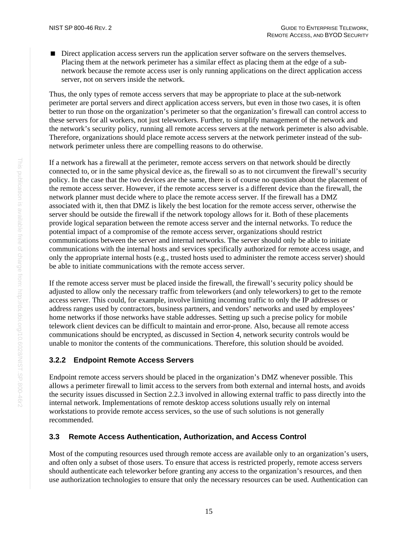Direct application access servers run the application server software on the servers themselves. Placing them at the network perimeter has a similar effect as placing them at the edge of a subnetwork because the remote access user is only running applications on the direct application access server, not on servers inside the network.

Thus, the only types of remote access servers that may be appropriate to place at the sub-network perimeter are portal servers and direct application access servers, but even in those two cases, it is often better to run those on the organization's perimeter so that the organization's firewall can control access to these servers for all workers, not just teleworkers. Further, to simplify management of the network and the network's security policy, running all remote access servers at the network perimeter is also advisable. Therefore, organizations should place remote access servers at the network perimeter instead of the subnetwork perimeter unless there are compelling reasons to do otherwise.

If a network has a firewall at the perimeter, remote access servers on that network should be directly connected to, or in the same physical device as, the firewall so as to not circumvent the firewall's security policy. In the case that the two devices are the same, there is of course no question about the placement of the remote access server. However, if the remote access server is a different device than the firewall, the network planner must decide where to place the remote access server. If the firewall has a DMZ associated with it, then that DMZ is likely the best location for the remote access server, otherwise the server should be outside the firewall if the network topology allows for it. Both of these placements provide logical separation between the remote access server and the internal networks. To reduce the potential impact of a compromise of the remote access server, organizations should restrict communications between the server and internal networks. The server should only be able to initiate communications with the internal hosts and services specifically authorized for remote access usage, and only the appropriate internal hosts (e.g., trusted hosts used to administer the remote access server) should be able to initiate communications with the remote access server.

If the remote access server must be placed inside the firewall, the firewall's security policy should be adjusted to allow only the necessary traffic from teleworkers (and only teleworkers) to get to the remote access server. This could, for example, involve limiting incoming traffic to only the IP addresses or address ranges used by contractors, business partners, and vendors' networks and used by employees' home networks if those networks have stable addresses. Setting up such a precise policy for mobile telework client devices can be difficult to maintain and error-prone. Also, because all remote access communications should be encrypted, as discussed in Section [4,](#page-30-0) network security controls would be unable to monitor the contents of the communications. Therefore, this solution should be avoided.

#### <span id="page-24-0"></span>**3.2.2 Endpoint Remote Access Servers**

Endpoint remote access servers should be placed in the organization's DMZ whenever possible. This allows a perimeter firewall to limit access to the servers from both external and internal hosts, and avoids the security issues discussed in Section [2.2.3](#page-17-0) involved in allowing external traffic to pass directly into the internal network. Implementations of remote desktop access solutions usually rely on internal workstations to provide remote access services, so the use of such solutions is not generally recommended.

#### <span id="page-24-1"></span>**3.3 Remote Access Authentication, Authorization, and Access Control**

Most of the computing resources used through remote access are available only to an organization's users, and often only a subset of those users. To ensure that access is restricted properly, remote access servers should authenticate each teleworker before granting any access to the organization's resources, and then use authorization technologies to ensure that only the necessary resources can be used. Authentication can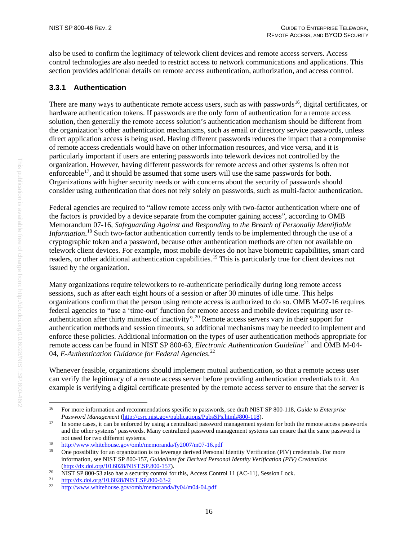also be used to confirm the legitimacy of telework client devices and remote access servers. Access control technologies are also needed to restrict access to network communications and applications. This section provides additional details on remote access authentication, authorization, and access control.

#### <span id="page-25-0"></span>**3.3.1 Authentication**

There are many ways to authenticate remote access users, such as with passwords<sup>[16](#page-25-1)</sup>, digital certificates, or hardware authentication tokens. If passwords are the only form of authentication for a remote access solution, then generally the remote access solution's authentication mechanism should be different from the organization's other authentication mechanisms, such as email or directory service passwords, unless direct application access is being used. Having different passwords reduces the impact that a compromise of remote access credentials would have on other information resources, and vice versa, and it is particularly important if users are entering passwords into telework devices not controlled by the organization. However, having different passwords for remote access and other systems is often not enforceable<sup>17</sup>, and it should be assumed that some users will use the same passwords for both. Organizations with higher security needs or with concerns about the security of passwords should consider using authentication that does not rely solely on passwords, such as multi-factor authentication.

Federal agencies are required to "allow remote access only with two-factor authentication where one of the factors is provided by a device separate from the computer gaining access", according to OMB Memorandum 07-16, *Safeguarding Against and Responding to the Breach of Personally Identifiable Information*. [18](#page-25-3) Such two-factor authentication currently tends to be implemented through the use of a cryptographic token and a password, because other authentication methods are often not available on telework client devices. For example, most mobile devices do not have biometric capabilities, smart card readers, or other additional authentication capabilities.<sup>[19](#page-25-4)</sup> This is particularly true for client devices not issued by the organization.

Many organizations require teleworkers to re-authenticate periodically during long remote access sessions, such as after each eight hours of a session or after 30 minutes of idle time. This helps organizations confirm that the person using remote access is authorized to do so. OMB M-07-16 requires federal agencies to "use a 'time-out' function for remote access and mobile devices requiring user reauthentication after thirty minutes of inactivity".[20](#page-25-5) Remote access servers vary in their support for authentication methods and session timeouts, so additional mechanisms may be needed to implement and enforce these policies. Additional information on the types of user authentication methods appropriate for remote access can be found in NIST SP 800-63, *Electronic Authentication Guideline*[21](#page-25-6) and OMB M-04- 04, *E-Authentication Guidance for Federal Agencies*. [22](#page-25-7)

Whenever feasible, organizations should implement mutual authentication, so that a remote access user can verify the legitimacy of a remote access server before providing authentication credentials to it. An example is verifying a digital certificate presented by the remote access server to ensure that the server is

<span id="page-25-1"></span><sup>&</sup>lt;sup>16</sup> For more information and recommendations specific to passwords, see draft NIST SP 800-118, *Guide to Enterprise Password Management* (http://csrc.nist.gov/publications/PubsSPs.html#800-118).

<span id="page-25-2"></span><sup>&</sup>lt;sup>17</sup> In some cases, it can be enforced by using a centralized password management system for both the remote access passwords and the other systems' passwords. Many centralized password management systems can ensure that the same password is not used for two different systems.

<span id="page-25-4"></span><span id="page-25-3"></span><sup>&</sup>lt;sup>18</sup> <http://www.whitehouse.gov/omb/memoranda/fy2007/m07-16.pdf><br><sup>19</sup> One possibility for an organization is to lower as derived Personal

<sup>19</sup> One possibility for an organization is to leverage derived Personal Identity Verification (PIV) credentials. For more information, see NIST SP 800-157, *Guidelines for Derived Personal Identity Verification (PIV) Credentials*

<span id="page-25-5"></span>[<sup>\(</sup>http://dx.doi.org/10.6028/NIST.SP.800-157\)](http://dx.doi.org/10.6028/NIST.SP.800-157).<br>
20 NIST SP 800-53 also has a security control for this, Access Control 11 (AC-11), Session Lock.<br>
21 http://dv.dsi.org/10.6028/NIST SP 800-62.2

<span id="page-25-6"></span> $rac{21}{22}$  <http://dx.doi.org/10.6028/NIST.SP.800-63-2>

<span id="page-25-7"></span><http://www.whitehouse.gov/omb/memoranda/fy04/m04-04.pdf>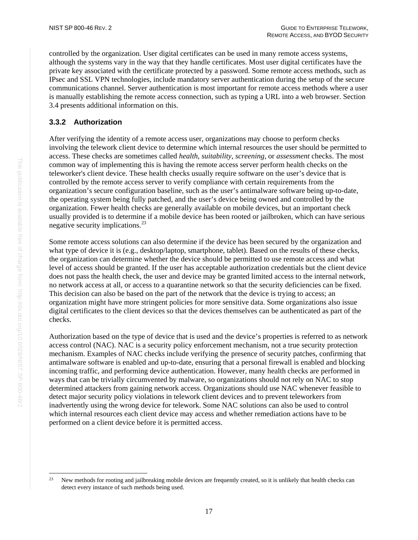controlled by the organization. User digital certificates can be used in many remote access systems, although the systems vary in the way that they handle certificates. Most user digital certificates have the private key associated with the certificate protected by a password. Some remote access methods, such as IPsec and SSL VPN technologies, include mandatory server authentication during the setup of the secure communications channel. Server authentication is most important for remote access methods where a user is manually establishing the remote access connection, such as typing a URL into a web browser. Section 3.4 presents additional information on this.

#### <span id="page-26-0"></span>**3.3.2 Authorization**

After verifying the identity of a remote access user, organizations may choose to perform checks involving the telework client device to determine which internal resources the user should be permitted to access. These checks are sometimes called *health, suitability*, *screening*, or *assessment* checks. The most common way of implementing this is having the remote access server perform health checks on the teleworker's client device. These health checks usually require software on the user's device that is controlled by the remote access server to verify compliance with certain requirements from the organization's secure configuration baseline, such as the user's antimalware software being up-to-date, the operating system being fully patched, and the user's device being owned and controlled by the organization. Fewer health checks are generally available on mobile devices, but an important check usually provided is to determine if a mobile device has been rooted or jailbroken, which can have serious negative security implications.[23](#page-26-1)

Some remote access solutions can also determine if the device has been secured by the organization and what type of device it is (e.g., desktop/laptop, smartphone, tablet). Based on the results of these checks, the organization can determine whether the device should be permitted to use remote access and what level of access should be granted. If the user has acceptable authorization credentials but the client device does not pass the health check, the user and device may be granted limited access to the internal network, no network access at all, or access to a quarantine network so that the security deficiencies can be fixed. This decision can also be based on the part of the network that the device is trying to access; an organization might have more stringent policies for more sensitive data. Some organizations also issue digital certificates to the client devices so that the devices themselves can be authenticated as part of the checks.

Authorization based on the type of device that is used and the device's properties is referred to as network access control (NAC). NAC is a security policy enforcement mechanism, not a true security protection mechanism. Examples of NAC checks include verifying the presence of security patches, confirming that antimalware software is enabled and up-to-date, ensuring that a personal firewall is enabled and blocking incoming traffic, and performing device authentication. However, many health checks are performed in ways that can be trivially circumvented by malware, so organizations should not rely on NAC to stop determined attackers from gaining network access. Organizations should use NAC whenever feasible to detect major security policy violations in telework client devices and to prevent teleworkers from inadvertently using the wrong device for telework. Some NAC solutions can also be used to control which internal resources each client device may access and whether remediation actions have to be performed on a client device before it is permitted access.

<span id="page-26-1"></span><sup>&</sup>lt;sup>23</sup> New methods for rooting and jailbreaking mobile devices are frequently created, so it is unlikely that health checks can detect every instance of such methods being used.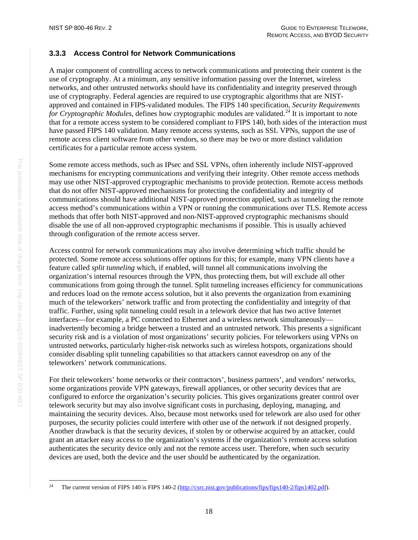#### <span id="page-27-0"></span>**3.3.3 Access Control for Network Communications**

A major component of controlling access to network communications and protecting their content is the use of cryptography. At a minimum, any sensitive information passing over the Internet, wireless networks, and other untrusted networks should have its confidentiality and integrity preserved through use of cryptography. Federal agencies are required to use cryptographic algorithms that are NISTapproved and contained in FIPS-validated modules. The FIPS 140 specification, *Security Requirements for Cryptographic Modules*, defines how cryptographic modules are validated.<sup>[24](#page-27-1)</sup> It is important to note that for a remote access system to be considered compliant to FIPS 140, both sides of the interaction must have passed FIPS 140 validation. Many remote access systems, such as SSL VPNs, support the use of remote access client software from other vendors, so there may be two or more distinct validation certificates for a particular remote access system.

Some remote access methods, such as IPsec and SSL VPNs, often inherently include NIST-approved mechanisms for encrypting communications and verifying their integrity. Other remote access methods may use other NIST-approved cryptographic mechanisms to provide protection. Remote access methods that do not offer NIST-approved mechanisms for protecting the confidentiality and integrity of communications should have additional NIST-approved protection applied, such as tunneling the remote access method's communications within a VPN or running the communications over TLS. Remote access methods that offer both NIST-approved and non-NIST-approved cryptographic mechanisms should disable the use of all non-approved cryptographic mechanisms if possible. This is usually achieved through configuration of the remote access server.

Access control for network communications may also involve determining which traffic should be protected. Some remote access solutions offer options for this; for example, many VPN clients have a feature called *split tunneling* which, if enabled, will tunnel all communications involving the organization's internal resources through the VPN, thus protecting them, but will exclude all other communications from going through the tunnel. Split tunneling increases efficiency for communications and reduces load on the remote access solution, but it also prevents the organization from examining much of the teleworkers' network traffic and from protecting the confidentiality and integrity of that traffic. Further, using split tunneling could result in a telework device that has two active Internet interfaces—for example, a PC connected to Ethernet and a wireless network simultaneously inadvertently becoming a bridge between a trusted and an untrusted network. This presents a significant security risk and is a violation of most organizations' security policies. For teleworkers using VPNs on untrusted networks, particularly higher-risk networks such as wireless hotspots, organizations should consider disabling split tunneling capabilities so that attackers cannot eavesdrop on any of the teleworkers' network communications.

For their teleworkers' home networks or their contractors', business partners', and vendors' networks, some organizations provide VPN gateways, firewall appliances, or other security devices that are configured to enforce the organization's security policies. This gives organizations greater control over telework security but may also involve significant costs in purchasing, deploying, managing, and maintaining the security devices. Also, because most networks used for telework are also used for other purposes, the security policies could interfere with other use of the network if not designed properly. Another drawback is that the security devices, if stolen by or otherwise acquired by an attacker, could grant an attacker easy access to the organization's systems if the organization's remote access solution authenticates the security device only and not the remote access user. Therefore, when such security devices are used, both the device and the user should be authenticated by the organization.

<span id="page-27-1"></span> <sup>24</sup> The current version of FIPS 140 is FIPS 140-2 [\(http://csrc.nist.gov/publications/fips/fips140-2/fips1402.pdf\)](http://csrc.nist.gov/publications/fips/fips140-2/fips1402.pdf).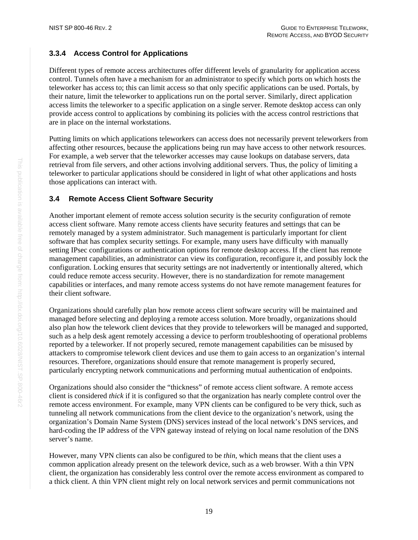#### <span id="page-28-0"></span>**3.3.4 Access Control for Applications**

Different types of remote access architectures offer different levels of granularity for application access control. Tunnels often have a mechanism for an administrator to specify which ports on which hosts the teleworker has access to; this can limit access so that only specific applications can be used. Portals, by their nature, limit the teleworker to applications run on the portal server. Similarly, direct application access limits the teleworker to a specific application on a single server. Remote desktop access can only provide access control to applications by combining its policies with the access control restrictions that are in place on the internal workstations.

Putting limits on which applications teleworkers can access does not necessarily prevent teleworkers from affecting other resources, because the applications being run may have access to other network resources. For example, a web server that the teleworker accesses may cause lookups on database servers, data retrieval from file servers, and other actions involving additional servers. Thus, the policy of limiting a teleworker to particular applications should be considered in light of what other applications and hosts those applications can interact with.

#### <span id="page-28-1"></span>**3.4 Remote Access Client Software Security**

Another important element of remote access solution security is the security configuration of remote access client software. Many remote access clients have security features and settings that can be remotely managed by a system administrator. Such management is particularly important for client software that has complex security settings. For example, many users have difficulty with manually setting IPsec configurations or authentication options for remote desktop access. If the client has remote management capabilities, an administrator can view its configuration, reconfigure it, and possibly lock the configuration. Locking ensures that security settings are not inadvertently or intentionally altered, which could reduce remote access security. However, there is no standardization for remote management capabilities or interfaces, and many remote access systems do not have remote management features for their client software.

Organizations should carefully plan how remote access client software security will be maintained and managed before selecting and deploying a remote access solution. More broadly, organizations should also plan how the telework client devices that they provide to teleworkers will be managed and supported, such as a help desk agent remotely accessing a device to perform troubleshooting of operational problems reported by a teleworker. If not properly secured, remote management capabilities can be misused by attackers to compromise telework client devices and use them to gain access to an organization's internal resources. Therefore, organizations should ensure that remote management is properly secured, particularly encrypting network communications and performing mutual authentication of endpoints.

Organizations should also consider the "thickness" of remote access client software. A remote access client is considered *thick* if it is configured so that the organization has nearly complete control over the remote access environment. For example, many VPN clients can be configured to be very thick, such as tunneling all network communications from the client device to the organization's network, using the organization's Domain Name System (DNS) services instead of the local network's DNS services, and hard-coding the IP address of the VPN gateway instead of relying on local name resolution of the DNS server's name.

However, many VPN clients can also be configured to be *thin*, which means that the client uses a common application already present on the telework device, such as a web browser. With a thin VPN client, the organization has considerably less control over the remote access environment as compared to a thick client. A thin VPN client might rely on local network services and permit communications not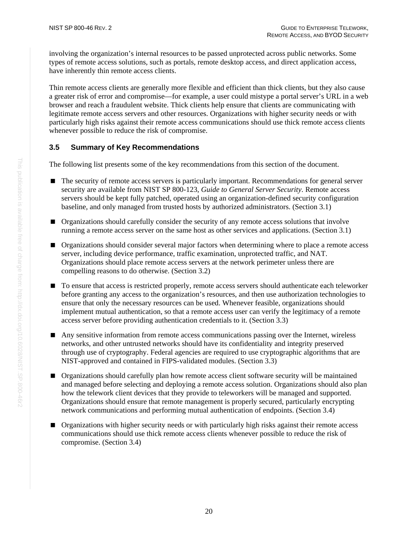involving the organization's internal resources to be passed unprotected across public networks. Some types of remote access solutions, such as portals, remote desktop access, and direct application access, have inherently thin remote access clients.

Thin remote access clients are generally more flexible and efficient than thick clients, but they also cause a greater risk of error and compromise—for example, a user could mistype a portal server's URL in a web browser and reach a fraudulent website. Thick clients help ensure that clients are communicating with legitimate remote access servers and other resources. Organizations with higher security needs or with particularly high risks against their remote access communications should use thick remote access clients whenever possible to reduce the risk of compromise.

#### <span id="page-29-0"></span>**3.5 Summary of Key Recommendations**

The following list presents some of the key recommendations from this section of the document.

- The security of remote access servers is particularly important. Recommendations for general server security are available from NIST SP 800-123, *Guide to General Server Security*. Remote access servers should be kept fully patched, operated using an organization-defined security configuration baseline, and only managed from trusted hosts by authorized administrators. (Section [3.1\)](#page-22-1)
- **Organizations should carefully consider the security of any remote access solutions that involve** running a remote access server on the same host as other services and applications. (Section [3.1\)](#page-22-1)
- **Organizations should consider several major factors when determining where to place a remote access** server, including device performance, traffic examination, unprotected traffic, and NAT. Organizations should place remote access servers at the network perimeter unless there are compelling reasons to do otherwise. (Section [3.2\)](#page-22-2)
- To ensure that access is restricted properly, remote access servers should authenticate each teleworker before granting any access to the organization's resources, and then use authorization technologies to ensure that only the necessary resources can be used. Whenever feasible, organizations should implement mutual authentication, so that a remote access user can verify the legitimacy of a remote access server before providing authentication credentials to it. (Section [3.3\)](#page-24-1)
- Any sensitive information from remote access communications passing over the Internet, wireless networks, and other untrusted networks should have its confidentiality and integrity preserved through use of cryptography. Federal agencies are required to use cryptographic algorithms that are NIST-approved and contained in FIPS-validated modules. (Section [3.3\)](#page-24-1)
- Organizations should carefully plan how remote access client software security will be maintained and managed before selecting and deploying a remote access solution. Organizations should also plan how the telework client devices that they provide to teleworkers will be managed and supported. Organizations should ensure that remote management is properly secured, particularly encrypting network communications and performing mutual authentication of endpoints. (Section [3.4\)](#page-28-1)
- **Organizations with higher security needs or with particularly high risks against their remote access** communications should use thick remote access clients whenever possible to reduce the risk of compromise. (Section [3.4\)](#page-28-1)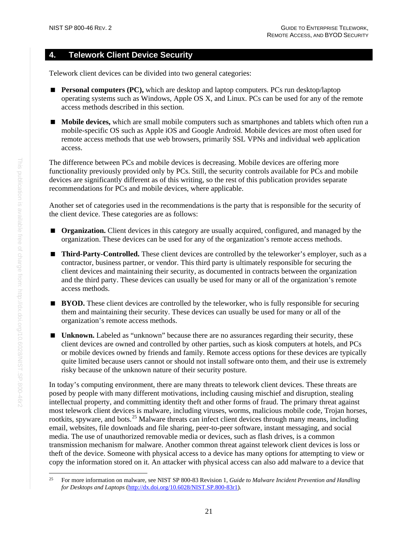#### <span id="page-30-0"></span>**4. Telework Client Device Security**

Telework client devices can be divided into two general categories:

- **Personal computers (PC),** which are desktop and laptop computers. PCs run desktop/laptop operating systems such as Windows, Apple OS X, and Linux. PCs can be used for any of the remote access methods described in this section.
- **Mobile devices,** which are small mobile computers such as smartphones and tablets which often run a mobile-specific OS such as Apple iOS and Google Android. Mobile devices are most often used for remote access methods that use web browsers, primarily SSL VPNs and individual web application access.

The difference between PCs and mobile devices is decreasing. Mobile devices are offering more functionality previously provided only by PCs. Still, the security controls available for PCs and mobile devices are significantly different as of this writing, so the rest of this publication provides separate recommendations for PCs and mobile devices, where applicable.

Another set of categories used in the recommendations is the party that is responsible for the security of the client device. These categories are as follows:

- **Organization.** Client devices in this category are usually acquired, configured, and managed by the organization. These devices can be used for any of the organization's remote access methods.
- **Third-Party-Controlled.** These client devices are controlled by the teleworker's employer, such as a contractor, business partner, or vendor. This third party is ultimately responsible for securing the client devices and maintaining their security, as documented in contracts between the organization and the third party. These devices can usually be used for many or all of the organization's remote access methods.
- **BYOD.** These client devices are controlled by the teleworker, who is fully responsible for securing them and maintaining their security. These devices can usually be used for many or all of the organization's remote access methods.
- **Unknown.** Labeled as "unknown" because there are no assurances regarding their security, these client devices are owned and controlled by other parties, such as kiosk computers at hotels, and PCs or mobile devices owned by friends and family. Remote access options for these devices are typically quite limited because users cannot or should not install software onto them, and their use is extremely risky because of the unknown nature of their security posture.

In today's computing environment, there are many threats to telework client devices. These threats are posed by people with many different motivations, including causing mischief and disruption, stealing intellectual property, and committing identity theft and other forms of fraud. The primary threat against most telework client devices is malware, including viruses, worms, malicious mobile code, Trojan horses, rootkits, spyware, and bots.<sup>[25](#page-30-1)</sup> Malware threats can infect client devices through many means, including email, websites, file downloads and file sharing, peer-to-peer software, instant messaging, and social media. The use of unauthorized removable media or devices, such as flash drives, is a common transmission mechanism for malware. Another common threat against telework client devices is loss or theft of the device. Someone with physical access to a device has many options for attempting to view or copy the information stored on it. An attacker with physical access can also add malware to a device that

<span id="page-30-1"></span> <sup>25</sup> For more information on malware, see NIST SP 800-83 Revision 1, *Guide to Malware Incident Prevention and Handling for Desktops and Laptops* [\(http://dx.doi.org/10.6028/NIST.SP.800-83r1\)](http://dx.doi.org/10.6028/NIST.SP.800-83r1).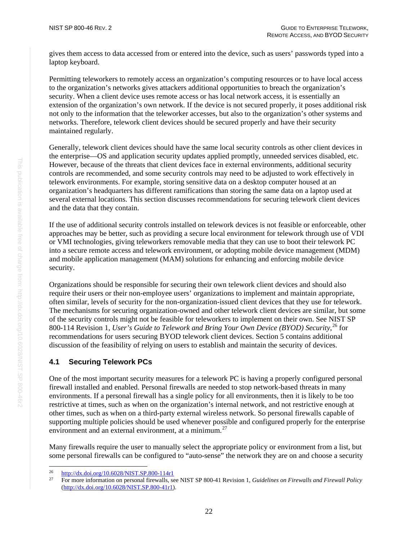gives them access to data accessed from or entered into the device, such as users' passwords typed into a laptop keyboard.

Permitting teleworkers to remotely access an organization's computing resources or to have local access to the organization's networks gives attackers additional opportunities to breach the organization's security. When a client device uses remote access or has local network access, it is essentially an extension of the organization's own network. If the device is not secured properly, it poses additional risk not only to the information that the teleworker accesses, but also to the organization's other systems and networks. Therefore, telework client devices should be secured properly and have their security maintained regularly.

Generally, telework client devices should have the same local security controls as other client devices in the enterprise—OS and application security updates applied promptly, unneeded services disabled, etc. However, because of the threats that client devices face in external environments, additional security controls are recommended, and some security controls may need to be adjusted to work effectively in telework environments. For example, storing sensitive data on a desktop computer housed at an organization's headquarters has different ramifications than storing the same data on a laptop used at several external locations. This section discusses recommendations for securing telework client devices and the data that they contain.

If the use of additional security controls installed on telework devices is not feasible or enforceable, other approaches may be better, such as providing a secure local environment for telework through use of VDI or VMI technologies, giving teleworkers removable media that they can use to boot their telework PC into a secure remote access and telework environment, or adopting mobile device management (MDM) and mobile application management (MAM) solutions for enhancing and enforcing mobile device security.

Organizations should be responsible for securing their own telework client devices and should also require their users or their non-employee users' organizations to implement and maintain appropriate, often similar, levels of security for the non-organization-issued client devices that they use for telework. The mechanisms for securing organization-owned and other telework client devices are similar, but some of the security controls might not be feasible for teleworkers to implement on their own. See NIST SP 800-114 Revision 1, *User's Guide to Telework and Bring Your Own Device (BYOD) Security*, [26](#page-31-1) for recommendations for users securing BYOD telework client devices. Section 5 contains additional discussion of the feasibility of relying on users to establish and maintain the security of devices.

#### <span id="page-31-0"></span>**4.1 Securing Telework PCs**

One of the most important security measures for a telework PC is having a properly configured personal firewall installed and enabled. Personal firewalls are needed to stop network-based threats in many environments. If a personal firewall has a single policy for all environments, then it is likely to be too restrictive at times, such as when on the organization's internal network, and not restrictive enough at other times, such as when on a third-party external wireless network. So personal firewalls capable of supporting multiple policies should be used whenever possible and configured properly for the enterprise environment and an external environment, at a minimum.<sup>[27](#page-31-2)</sup>

Many firewalls require the user to manually select the appropriate policy or environment from a list, but some personal firewalls can be configured to "auto-sense" the network they are on and choose a security

This publication is available free of charge from: http://dx.doi.org/10.6028/NIST.SP.800-46r2

This publication is available free of charge from: http://dx.doi.org/10.6028/NIST.SP.800-46r2

<span id="page-31-2"></span><span id="page-31-1"></span> $\frac{26}{27}$  [http://dx.doi.org/10.6028/NIST.SP.800-114r](http://dx.doi.org/10.6028/NIST.SP.800-114)1

<sup>27</sup> For more information on personal firewalls, see NIST SP 800-41 Revision 1, *Guidelines on Firewalls and Firewall Policy* [\(http://dx.doi.org/10.6028/NIST.SP.800-41r1\)](http://dx.doi.org/10.6028/NIST.SP.800-41r1).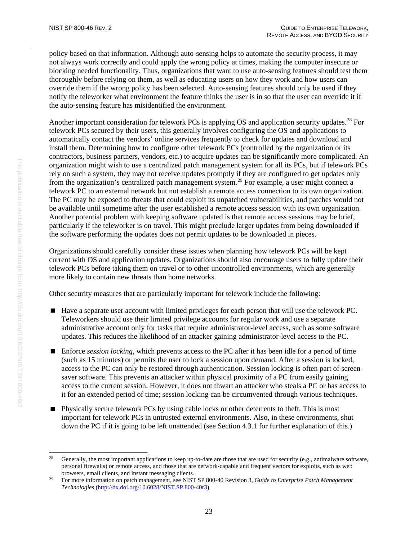policy based on that information. Although auto-sensing helps to automate the security process, it may not always work correctly and could apply the wrong policy at times, making the computer insecure or blocking needed functionality. Thus, organizations that want to use auto-sensing features should test them thoroughly before relying on them, as well as educating users on how they work and how users can override them if the wrong policy has been selected. Auto-sensing features should only be used if they notify the teleworker what environment the feature thinks the user is in so that the user can override it if the auto-sensing feature has misidentified the environment.

Another important consideration for telework PCs is applying OS and application security updates.<sup>[28](#page-32-0)</sup> For telework PCs secured by their users, this generally involves configuring the OS and applications to automatically contact the vendors' online services frequently to check for updates and download and install them. Determining how to configure other telework PCs (controlled by the organization or its contractors, business partners, vendors, etc.) to acquire updates can be significantly more complicated. An organization might wish to use a centralized patch management system for all its PCs, but if telework PCs rely on such a system, they may not receive updates promptly if they are configured to get updates only from the organization's centralized patch management system.<sup>[29](#page-32-1)</sup> For example, a user might connect a telework PC to an external network but not establish a remote access connection to its own organization. The PC may be exposed to threats that could exploit its unpatched vulnerabilities, and patches would not be available until sometime after the user established a remote access session with its own organization. Another potential problem with keeping software updated is that remote access sessions may be brief, particularly if the teleworker is on travel. This might preclude larger updates from being downloaded if the software performing the updates does not permit updates to be downloaded in pieces.

Organizations should carefully consider these issues when planning how telework PCs will be kept current with OS and application updates. Organizations should also encourage users to fully update their telework PCs before taking them on travel or to other uncontrolled environments, which are generally more likely to contain new threats than home networks.

Other security measures that are particularly important for telework include the following:

- Have a separate user account with limited privileges for each person that will use the telework PC. Teleworkers should use their limited privilege accounts for regular work and use a separate administrative account only for tasks that require administrator-level access, such as some software updates. This reduces the likelihood of an attacker gaining administrator-level access to the PC.
- Enforce *session locking*, which prevents access to the PC after it has been idle for a period of time (such as 15 minutes) or permits the user to lock a session upon demand. After a session is locked, access to the PC can only be restored through authentication. Session locking is often part of screensaver software. This prevents an attacker within physical proximity of a PC from easily gaining access to the current session. However, it does not thwart an attacker who steals a PC or has access to it for an extended period of time; session locking can be circumvented through various techniques.
- **Physically secure telework PCs by using cable locks or other deterrents to theft. This is most** important for telework PCs in untrusted external environments. Also, in these environments, shut down the PC if it is going to be left unattended (see Section [4.3.1](#page-35-0) for further explanation of this.)

<span id="page-32-0"></span><sup>&</sup>lt;sup>28</sup> Generally, the most important applications to keep up-to-date are those that are used for security (e.g., antimalware software, personal firewalls) or remote access, and those that are network-capable and frequent vectors for exploits, such as web browsers, email clients, and instant messaging clients.

<span id="page-32-1"></span><sup>29</sup> For more information on patch management, see NIST SP 800-40 Revision 3, *Guide to Enterprise Patch Management Technologies* [\(http://dx.doi.org/10.6028/NIST.SP.800-40r3\)](http://dx.doi.org/10.6028/NIST.SP.800-40r3).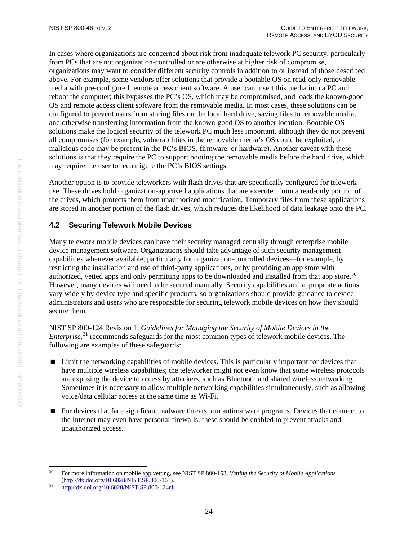In cases where organizations are concerned about risk from inadequate telework PC security, particularly from PCs that are not organization-controlled or are otherwise at higher risk of compromise, organizations may want to consider different security controls in addition to or instead of those described above. For example, some vendors offer solutions that provide a bootable OS on read-only removable media with pre-configured remote access client software. A user can insert this media into a PC and reboot the computer; this bypasses the PC's OS, which may be compromised, and loads the known-good OS and remote access client software from the removable media. In most cases, these solutions can be configured to prevent users from storing files on the local hard drive, saving files to removable media, and otherwise transferring information from the known-good OS to another location. Bootable OS solutions make the logical security of the telework PC much less important, although they do not prevent all compromises (for example, vulnerabilities in the removable media's OS could be exploited, or malicious code may be present in the PC's BIOS, firmware, or hardware). Another caveat with these solutions is that they require the PC to support booting the removable media before the hard drive, which may require the user to reconfigure the PC's BIOS settings.

Another option is to provide teleworkers with flash drives that are specifically configured for telework use. These drives hold organization-approved applications that are executed from a read-only portion of the drives, which protects them from unauthorized modification. Temporary files from these applications are stored in another portion of the flash drives, which reduces the likelihood of data leakage onto the PC.

#### <span id="page-33-0"></span>**4.2 Securing Telework Mobile Devices**

Many telework mobile devices can have their security managed centrally through enterprise mobile device management software. Organizations should take advantage of such security management capabilities whenever available, particularly for organization-controlled devices—for example, by restricting the installation and use of third-party applications, or by providing an app store with authorized, vetted apps and only permitting apps to be downloaded and installed from that app store.<sup>[30](#page-33-1)</sup> However, many devices will need to be secured manually. Security capabilities and appropriate actions vary widely by device type and specific products, so organizations should provide guidance to device administrators and users who are responsible for securing telework mobile devices on how they should secure them.

NIST SP 800-124 Revision 1, *Guidelines for Managing the Security of Mobile Devices in the Enterprise*, [31](#page-33-2) recommends safeguards for the most common types of telework mobile devices. The following are examples of these safeguards:

- Limit the networking capabilities of mobile devices. This is particularly important for devices that have multiple wireless capabilities; the teleworker might not even know that some wireless protocols are exposing the device to access by attackers, such as Bluetooth and shared wireless networking. Sometimes it is necessary to allow multiple networking capabilities simultaneously, such as allowing voice/data cellular access at the same time as Wi-Fi.
- **Form** For devices that face significant malware threats, run antimalware programs. Devices that connect to the Internet may even have personal firewalls; these should be enabled to prevent attacks and unauthorized access.

<span id="page-33-1"></span> <sup>30</sup> For more information on mobile app vetting, see NIST SP 800-163, *Vetting the Security of Mobile Applications*  [\(http://dx.doi.org/10.6028/NIST.SP.800-163\)](http://dx.doi.org/10.6028/NIST.SP.800-163)*.*

<span id="page-33-2"></span><sup>31</sup> <http://dx.doi.org/10.6028/NIST.SP.800-124r1>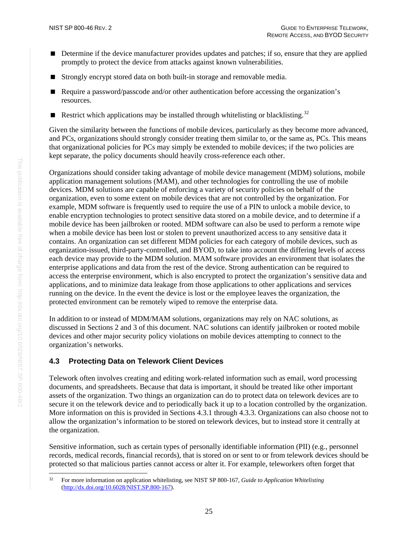- Determine if the device manufacturer provides updates and patches; if so, ensure that they are applied promptly to protect the device from attacks against known vulnerabilities.
- Strongly encrypt stored data on both built-in storage and removable media.
- Require a password/passcode and/or other authentication before accessing the organization's resources.
- Restrict which applications may be installed through whitelisting or blacklisting.<sup>[32](#page-34-1)</sup>

Given the similarity between the functions of mobile devices, particularly as they become more advanced, and PCs, organizations should strongly consider treating them similar to, or the same as, PCs. This means that organizational policies for PCs may simply be extended to mobile devices; if the two policies are kept separate, the policy documents should heavily cross-reference each other.

Organizations should consider taking advantage of mobile device management (MDM) solutions, mobile application management solutions (MAM), and other technologies for controlling the use of mobile devices. MDM solutions are capable of enforcing a variety of security policies on behalf of the organization, even to some extent on mobile devices that are not controlled by the organization. For example, MDM software is frequently used to require the use of a PIN to unlock a mobile device, to enable encryption technologies to protect sensitive data stored on a mobile device, and to determine if a mobile device has been jailbroken or rooted. MDM software can also be used to perform a remote wipe when a mobile device has been lost or stolen to prevent unauthorized access to any sensitive data it contains. An organization can set different MDM policies for each category of mobile devices, such as organization-issued, third-party-controlled, and BYOD, to take into account the differing levels of access each device may provide to the MDM solution. MAM software provides an environment that isolates the enterprise applications and data from the rest of the device. Strong authentication can be required to access the enterprise environment, which is also encrypted to protect the organization's sensitive data and applications, and to minimize data leakage from those applications to other applications and services running on the device. In the event the device is lost or the employee leaves the organization, the protected environment can be remotely wiped to remove the enterprise data.

In addition to or instead of MDM/MAM solutions, organizations may rely on NAC solutions, as discussed in Sections [2](#page-11-0) and [3](#page-22-0) of this document. NAC solutions can identify jailbroken or rooted mobile devices and other major security policy violations on mobile devices attempting to connect to the organization's networks.

#### <span id="page-34-0"></span>**4.3 Protecting Data on Telework Client Devices**

Telework often involves creating and editing work-related information such as email, word processing documents, and spreadsheets. Because that data is important, it should be treated like other important assets of the organization. Two things an organization can do to protect data on telework devices are to secure it on the telework device and to periodically back it up to a location controlled by the organization. More information on this is provided in Sections [4.3.1](#page-35-0) through [4.3.3.](#page-36-0) Organizations can also choose not to allow the organization's information to be stored on telework devices, but to instead store it centrally at the organization.

Sensitive information, such as certain types of personally identifiable information (PII) (e.g., personnel records, medical records, financial records), that is stored on or sent to or from telework devices should be protected so that malicious parties cannot access or alter it. For example, teleworkers often forget that

<span id="page-34-1"></span> <sup>32</sup> For more information on application whitelisting, see NIST SP 800-167, *Guide to Application Whitelisting*  [\(http://dx.doi.org/10.6028/NIST.SP.800-167\)](http://dx.doi.org/10.6028/NIST.SP.800-167).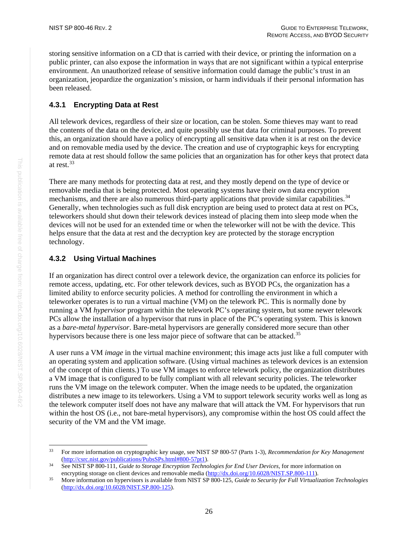storing sensitive information on a CD that is carried with their device, or printing the information on a public printer, can also expose the information in ways that are not significant within a typical enterprise environment. An unauthorized release of sensitive information could damage the public's trust in an organization, jeopardize the organization's mission, or harm individuals if their personal information has been released.

#### <span id="page-35-0"></span>**4.3.1 Encrypting Data at Rest**

All telework devices, regardless of their size or location, can be stolen. Some thieves may want to read the contents of the data on the device, and quite possibly use that data for criminal purposes. To prevent this, an organization should have a policy of encrypting all sensitive data when it is at rest on the device and on removable media used by the device. The creation and use of cryptographic keys for encrypting remote data at rest should follow the same policies that an organization has for other keys that protect data at rest.[33](#page-35-2)

There are many methods for protecting data at rest, and they mostly depend on the type of device or removable media that is being protected. Most operating systems have their own data encryption mechanisms, and there are also numerous third-party applications that provide similar capabilities.<sup>[34](#page-35-3)</sup> Generally, when technologies such as full disk encryption are being used to protect data at rest on PCs, teleworkers should shut down their telework devices instead of placing them into sleep mode when the devices will not be used for an extended time or when the teleworker will not be with the device. This helps ensure that the data at rest and the decryption key are protected by the storage encryption technology.

#### <span id="page-35-1"></span>**4.3.2 Using Virtual Machines**

If an organization has direct control over a telework device, the organization can enforce its policies for remote access, updating, etc. For other telework devices, such as BYOD PCs, the organization has a limited ability to enforce security policies. A method for controlling the environment in which a teleworker operates is to run a virtual machine (VM) on the telework PC. This is normally done by running a VM *hypervisor* program within the telework PC's operating system, but some newer telework PCs allow the installation of a hypervisor that runs in place of the PC's operating system. This is known as a *bare-metal hypervisor*. Bare-metal hypervisors are generally considered more secure than other hypervisors because there is one less major piece of software that can be attacked.<sup>[35](#page-35-4)</sup>

A user runs a VM *image* in the virtual machine environment; this image acts just like a full computer with an operating system and application software. (Using virtual machines as telework devices is an extension of the concept of thin clients.) To use VM images to enforce telework policy, the organization distributes a VM image that is configured to be fully compliant with all relevant security policies. The teleworker runs the VM image on the telework computer. When the image needs to be updated, the organization distributes a new image to its teleworkers. Using a VM to support telework security works well as long as the telework computer itself does not have any malware that will attack the VM. For hypervisors that run within the host OS (i.e., not bare-metal hypervisors), any compromise within the host OS could affect the security of the VM and the VM image.

<span id="page-35-2"></span> <sup>33</sup> For more information on cryptographic key usage, see NIST SP 800-57 (Parts 1-3), *Recommendation for Key Management* [\(http://csrc.nist.gov/publications/PubsSPs.html#800-57pt1\)](http://csrc.nist.gov/publications/PubsSPs.html#800-57pt1). 34 See NIST SP 800-111, *Guide to Storage Encryption Technologies for End User Devices*, for more information on

<span id="page-35-3"></span>encrypting storage on client devices and removable media [\(http://dx.doi.org/10.6028/NIST.SP.800-111\)](http://dx.doi.org/10.6028/NIST.SP.800-111).

<span id="page-35-4"></span><sup>35</sup> More information on hypervisors is available from NIST SP 800-125, *Guide to Security for Full Virtualization Technologies* [\(http://dx.doi.org/10.6028/NIST.SP.800-125\)](http://dx.doi.org/10.6028/NIST.SP.800-125).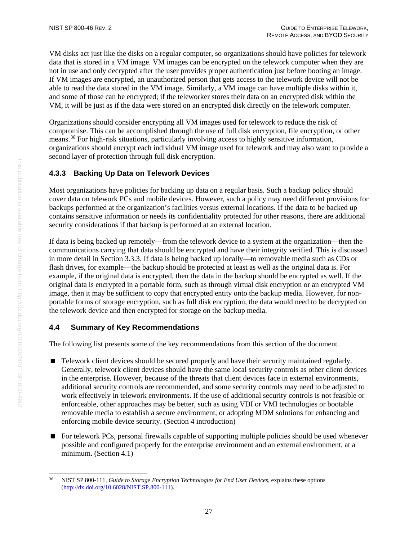VM disks act just like the disks on a regular computer, so organizations should have policies for telework data that is stored in a VM image. VM images can be encrypted on the telework computer when they are not in use and only decrypted after the user provides proper authentication just before booting an image. If VM images are encrypted, an unauthorized person that gets access to the telework device will not be able to read the data stored in the VM image. Similarly, a VM image can have multiple disks within it, and some of those can be encrypted; if the teleworker stores their data on an encrypted disk within the VM, it will be just as if the data were stored on an encrypted disk directly on the telework computer.

Organizations should consider encrypting all VM images used for telework to reduce the risk of compromise. This can be accomplished through the use of full disk encryption, file encryption, or other means.[36](#page-36-2) For high-risk situations, particularly involving access to highly sensitive information, organizations should encrypt each individual VM image used for telework and may also want to provide a second layer of protection through full disk encryption.

#### <span id="page-36-0"></span>**4.3.3 Backing Up Data on Telework Devices**

Most organizations have policies for backing up data on a regular basis. Such a backup policy should cover data on telework PCs and mobile devices. However, such a policy may need different provisions for backups performed at the organization's facilities versus external locations. If the data to be backed up contains sensitive information or needs its confidentiality protected for other reasons, there are additional security considerations if that backup is performed at an external location.

If data is being backed up remotely—from the telework device to a system at the organization—then the communications carrying that data should be encrypted and have their integrity verified. This is discussed in more detail in Section [3.3.3.](#page-27-0) If data is being backed up locally—to removable media such as CDs or flash drives, for example—the backup should be protected at least as well as the original data is. For example, if the original data is encrypted, then the data in the backup should be encrypted as well. If the original data is encrypted in a portable form, such as through virtual disk encryption or an encrypted VM image, then it may be sufficient to copy that encrypted entity onto the backup media. However, for nonportable forms of storage encryption, such as full disk encryption, the data would need to be decrypted on the telework device and then encrypted for storage on the backup media.

#### <span id="page-36-1"></span>**4.4 Summary of Key Recommendations**

The following list presents some of the key recommendations from this section of the document.

- Telework client devices should be secured properly and have their security maintained regularly. Generally, telework client devices should have the same local security controls as other client devices in the enterprise. However, because of the threats that client devices face in external environments, additional security controls are recommended, and some security controls may need to be adjusted to work effectively in telework environments. If the use of additional security controls is not feasible or enforceable, other approaches may be better, such as using VDI or VMI technologies or bootable removable media to establish a secure environment, or adopting MDM solutions for enhancing and enforcing mobile device security. (Section [4](#page-30-0) introduction)
- **For telework PCs, personal firewalls capable of supporting multiple policies should be used whenever** possible and configured properly for the enterprise environment and an external environment, at a minimum. (Section [4.1\)](#page-31-0)

<span id="page-36-2"></span> <sup>36</sup> NIST SP 800-111, *Guide to Storage Encryption Technologies for End User Devices*, explains these options [\(http://dx.doi.org/10.6028/NIST.SP.800-111\)](http://dx.doi.org/10.6028/NIST.SP.800-111).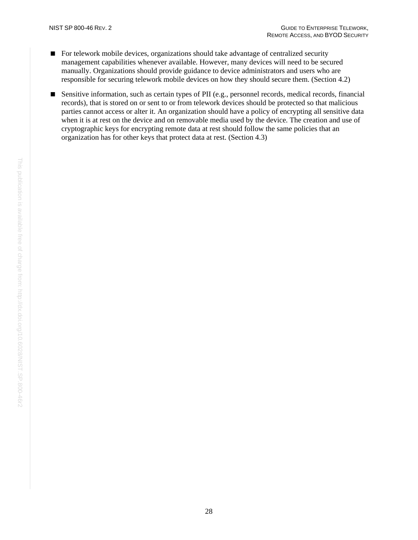- For telework mobile devices, organizations should take advantage of centralized security management capabilities whenever available. However, many devices will need to be secured manually. Organizations should provide guidance to device administrators and users who are responsible for securing telework mobile devices on how they should secure them. (Section [4.2\)](#page-33-0)
- Sensitive information, such as certain types of PII (e.g., personnel records, medical records, financial records), that is stored on or sent to or from telework devices should be protected so that malicious parties cannot access or alter it. An organization should have a policy of encrypting all sensitive data when it is at rest on the device and on removable media used by the device. The creation and use of cryptographic keys for encrypting remote data at rest should follow the same policies that an organization has for other keys that protect data at rest. (Section [4.3\)](#page-34-0)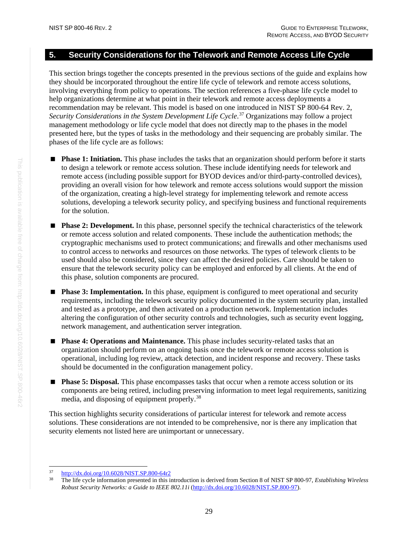#### <span id="page-38-0"></span>**5. Security Considerations for the Telework and Remote Access Life Cycle**

This section brings together the concepts presented in the previous sections of the guide and explains how they should be incorporated throughout the entire life cycle of telework and remote access solutions, involving everything from policy to operations. The section references a five-phase life cycle model to help organizations determine at what point in their telework and remote access deployments a recommendation may be relevant. This model is based on one introduced in NIST SP 800-64 Rev. 2, *Security Considerations in the System Development Life Cycle*. [37](#page-38-1) Organizations may follow a project management methodology or life cycle model that does not directly map to the phases in the model presented here, but the types of tasks in the methodology and their sequencing are probably similar. The phases of the life cycle are as follows:

- **Phase 1: Initiation.** This phase includes the tasks that an organization should perform before it starts to design a telework or remote access solution. These include identifying needs for telework and remote access (including possible support for BYOD devices and/or third-party-controlled devices), providing an overall vision for how telework and remote access solutions would support the mission of the organization, creating a high-level strategy for implementing telework and remote access solutions, developing a telework security policy, and specifying business and functional requirements for the solution.
- **Phase 2: Development.** In this phase, personnel specify the technical characteristics of the telework or remote access solution and related components. These include the authentication methods; the cryptographic mechanisms used to protect communications; and firewalls and other mechanisms used to control access to networks and resources on those networks. The types of telework clients to be used should also be considered, since they can affect the desired policies. Care should be taken to ensure that the telework security policy can be employed and enforced by all clients. At the end of this phase, solution components are procured.
- **Phase 3: Implementation.** In this phase, equipment is configured to meet operational and security requirements, including the telework security policy documented in the system security plan, installed and tested as a prototype, and then activated on a production network. Implementation includes altering the configuration of other security controls and technologies, such as security event logging, network management, and authentication server integration.
- **Phase 4: Operations and Maintenance.** This phase includes security-related tasks that an organization should perform on an ongoing basis once the telework or remote access solution is operational, including log review, attack detection, and incident response and recovery. These tasks should be documented in the configuration management policy.
- **Phase 5: Disposal.** This phase encompasses tasks that occur when a remote access solution or its components are being retired, including preserving information to meet legal requirements, sanitizing media, and disposing of equipment properly.<sup>[38](#page-38-2)</sup>

This section highlights security considerations of particular interest for telework and remote access solutions. These considerations are not intended to be comprehensive, nor is there any implication that security elements not listed here are unimportant or unnecessary.

<span id="page-38-1"></span><sup>37</sup> <http://dx.doi.org/10.6028/NIST.SP.800-64r2>

<span id="page-38-2"></span><sup>38</sup> The life cycle information presented in this introduction is derived from Section 8 of NIST SP 800-97, *Establishing Wireless Robust Security Networks: a Guide to IEEE 802.11i* [\(http://dx.doi.org/10.6028/NIST.SP.800-97\)](http://dx.doi.org/10.6028/NIST.SP.800-97).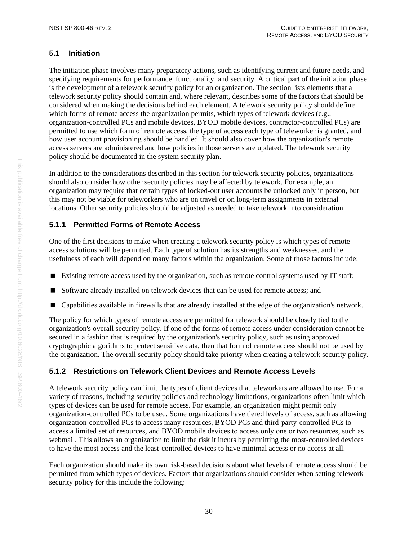#### <span id="page-39-0"></span>**5.1 Initiation**

The initiation phase involves many preparatory actions, such as identifying current and future needs, and specifying requirements for performance, functionality, and security. A critical part of the initiation phase is the development of a telework security policy for an organization. The section lists elements that a telework security policy should contain and, where relevant, describes some of the factors that should be considered when making the decisions behind each element. A telework security policy should define which forms of remote access the organization permits, which types of telework devices (e.g., organization-controlled PCs and mobile devices, BYOD mobile devices, contractor-controlled PCs) are permitted to use which form of remote access, the type of access each type of teleworker is granted, and how user account provisioning should be handled. It should also cover how the organization's remote access servers are administered and how policies in those servers are updated. The telework security policy should be documented in the system security plan.

In addition to the considerations described in this section for telework security policies, organizations should also consider how other security policies may be affected by telework. For example, an organization may require that certain types of locked-out user accounts be unlocked only in person, but this may not be viable for teleworkers who are on travel or on long-term assignments in external locations. Other security policies should be adjusted as needed to take telework into consideration.

#### <span id="page-39-1"></span>**5.1.1 Permitted Forms of Remote Access**

One of the first decisions to make when creating a telework security policy is which types of remote access solutions will be permitted. Each type of solution has its strengths and weaknesses, and the usefulness of each will depend on many factors within the organization. Some of those factors include:

- Existing remote access used by the organization, such as remote control systems used by IT staff;
- Software already installed on telework devices that can be used for remote access; and
- Capabilities available in firewalls that are already installed at the edge of the organization's network.

The policy for which types of remote access are permitted for telework should be closely tied to the organization's overall security policy. If one of the forms of remote access under consideration cannot be secured in a fashion that is required by the organization's security policy, such as using approved cryptographic algorithms to protect sensitive data, then that form of remote access should not be used by the organization. The overall security policy should take priority when creating a telework security policy.

#### <span id="page-39-2"></span>**5.1.2 Restrictions on Telework Client Devices and Remote Access Levels**

A telework security policy can limit the types of client devices that teleworkers are allowed to use. For a variety of reasons, including security policies and technology limitations, organizations often limit which types of devices can be used for remote access. For example, an organization might permit only organization-controlled PCs to be used. Some organizations have tiered levels of access, such as allowing organization-controlled PCs to access many resources, BYOD PCs and third-party-controlled PCs to access a limited set of resources, and BYOD mobile devices to access only one or two resources, such as webmail. This allows an organization to limit the risk it incurs by permitting the most-controlled devices to have the most access and the least-controlled devices to have minimal access or no access at all.

Each organization should make its own risk-based decisions about what levels of remote access should be permitted from which types of devices. Factors that organizations should consider when setting telework security policy for this include the following: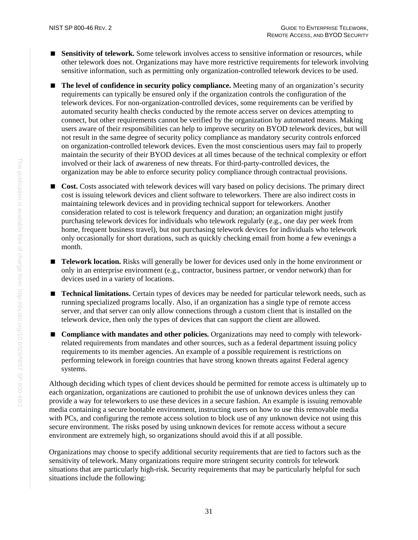- **Sensitivity of telework.** Some telework involves access to sensitive information or resources, while other telework does not. Organizations may have more restrictive requirements for telework involving sensitive information, such as permitting only organization-controlled telework devices to be used.
- **The level of confidence in security policy compliance.** Meeting many of an organization's security requirements can typically be ensured only if the organization controls the configuration of the telework devices. For non-organization-controlled devices, some requirements can be verified by automated security health checks conducted by the remote access server on devices attempting to connect, but other requirements cannot be verified by the organization by automated means. Making users aware of their responsibilities can help to improve security on BYOD telework devices, but will not result in the same degree of security policy compliance as mandatory security controls enforced on organization-controlled telework devices. Even the most conscientious users may fail to properly maintain the security of their BYOD devices at all times because of the technical complexity or effort involved or their lack of awareness of new threats. For third-party-controlled devices, the organization may be able to enforce security policy compliance through contractual provisions.
- **Cost.** Costs associated with telework devices will vary based on policy decisions. The primary direct cost is issuing telework devices and client software to teleworkers. There are also indirect costs in maintaining telework devices and in providing technical support for teleworkers. Another consideration related to cost is telework frequency and duration; an organization might justify purchasing telework devices for individuals who telework regularly (e.g., one day per week from home, frequent business travel), but not purchasing telework devices for individuals who telework only occasionally for short durations, such as quickly checking email from home a few evenings a month.
- **Telework location.** Risks will generally be lower for devices used only in the home environment or only in an enterprise environment (e.g., contractor, business partner, or vendor network) than for devices used in a variety of locations.
- **Technical limitations.** Certain types of devices may be needed for particular telework needs, such as running specialized programs locally. Also, if an organization has a single type of remote access server, and that server can only allow connections through a custom client that is installed on the telework device, then only the types of devices that can support the client are allowed.
- **Compliance with mandates and other policies.** Organizations may need to comply with teleworkrelated requirements from mandates and other sources, such as a federal department issuing policy requirements to its member agencies. An example of a possible requirement is restrictions on performing telework in foreign countries that have strong known threats against Federal agency systems.

Although deciding which types of client devices should be permitted for remote access is ultimately up to each organization, organizations are cautioned to prohibit the use of unknown devices unless they can provide a way for teleworkers to use these devices in a secure fashion. An example is issuing removable media containing a secure bootable environment, instructing users on how to use this removable media with PCs, and configuring the remote access solution to block use of any unknown device not using this secure environment. The risks posed by using unknown devices for remote access without a secure environment are extremely high, so organizations should avoid this if at all possible.

Organizations may choose to specify additional security requirements that are tied to factors such as the sensitivity of telework. Many organizations require more stringent security controls for telework situations that are particularly high-risk. Security requirements that may be particularly helpful for such situations include the following: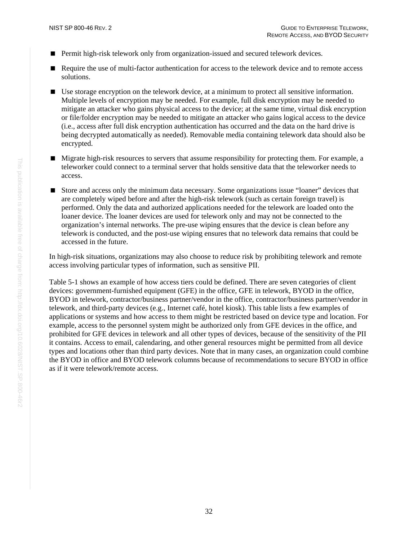- **Permit high-risk telework only from organization-issued and secured telework devices.**
- Require the use of multi-factor authentication for access to the telework device and to remote access solutions.
- Use storage encryption on the telework device, at a minimum to protect all sensitive information. Multiple levels of encryption may be needed. For example, full disk encryption may be needed to mitigate an attacker who gains physical access to the device; at the same time, virtual disk encryption or file/folder encryption may be needed to mitigate an attacker who gains logical access to the device (i.e., access after full disk encryption authentication has occurred and the data on the hard drive is being decrypted automatically as needed). Removable media containing telework data should also be encrypted.
- Migrate high-risk resources to servers that assume responsibility for protecting them. For example, a teleworker could connect to a terminal server that holds sensitive data that the teleworker needs to access.
- Store and access only the minimum data necessary. Some organizations issue "loaner" devices that are completely wiped before and after the high-risk telework (such as certain foreign travel) is performed. Only the data and authorized applications needed for the telework are loaded onto the loaner device. The loaner devices are used for telework only and may not be connected to the organization's internal networks. The pre-use wiping ensures that the device is clean before any telework is conducted, and the post-use wiping ensures that no telework data remains that could be accessed in the future.

In high-risk situations, organizations may also choose to reduce risk by prohibiting telework and remote access involving particular types of information, such as sensitive PII.

[Table 5-1](#page-42-1) shows an example of how access tiers could be defined. There are seven categories of client devices: government-furnished equipment (GFE) in the office, GFE in telework, BYOD in the office, BYOD in telework, contractor/business partner/vendor in the office, contractor/business partner/vendor in telework, and third-party devices (e.g., Internet café, hotel kiosk). This table lists a few examples of applications or systems and how access to them might be restricted based on device type and location. For example, access to the personnel system might be authorized only from GFE devices in the office, and prohibited for GFE devices in telework and all other types of devices, because of the sensitivity of the PII it contains. Access to email, calendaring, and other general resources might be permitted from all device types and locations other than third party devices. Note that in many cases, an organization could combine the BYOD in office and BYOD telework columns because of recommendations to secure BYOD in office as if it were telework/remote access.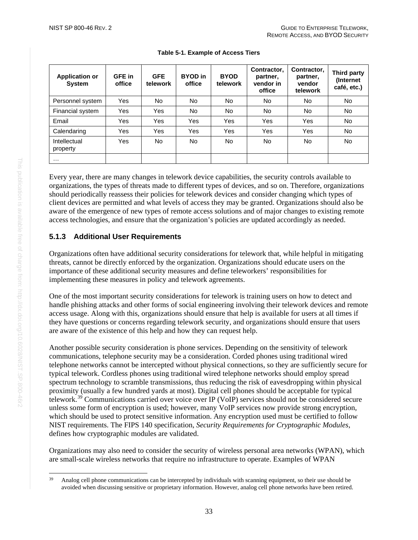<span id="page-42-1"></span>

| <b>Application or</b><br><b>System</b> | <b>GFE</b> in<br>office | <b>GFE</b><br>telework | <b>BYOD</b> in<br>office | <b>BYOD</b><br>telework | Contractor.<br>partner,<br>vendor in<br>office | Contractor,<br>partner,<br>vendor<br>telework | Third party<br>(Internet)<br>café, etc.) |
|----------------------------------------|-------------------------|------------------------|--------------------------|-------------------------|------------------------------------------------|-----------------------------------------------|------------------------------------------|
| Personnel system                       | Yes                     | No.                    | No.                      | No                      | <b>No</b>                                      | No.                                           | No.                                      |
| Financial system                       | Yes                     | Yes                    | No.                      | No.                     | <b>No</b>                                      | No.                                           | No.                                      |
| Email                                  | Yes                     | Yes                    | Yes                      | Yes                     | Yes                                            | Yes                                           | No.                                      |
| Calendaring                            | Yes                     | Yes                    | Yes                      | Yes                     | Yes                                            | Yes                                           | No.                                      |
| Intellectual<br>property               | Yes                     | No.                    | No.                      | No                      | No                                             | No.                                           | <b>No</b>                                |
| $\cdots$                               |                         |                        |                          |                         |                                                |                                               |                                          |

#### **Table 5-1. Example of Access Tiers**

Every year, there are many changes in telework device capabilities, the security controls available to organizations, the types of threats made to different types of devices, and so on. Therefore, organizations should periodically reassess their policies for telework devices and consider changing which types of client devices are permitted and what levels of access they may be granted. Organizations should also be aware of the emergence of new types of remote access solutions and of major changes to existing remote access technologies, and ensure that the organization's policies are updated accordingly as needed.

#### <span id="page-42-0"></span>**5.1.3 Additional User Requirements**

Organizations often have additional security considerations for telework that, while helpful in mitigating threats, cannot be directly enforced by the organization. Organizations should educate users on the importance of these additional security measures and define teleworkers' responsibilities for implementing these measures in policy and telework agreements.

One of the most important security considerations for telework is training users on how to detect and handle phishing attacks and other forms of social engineering involving their telework devices and remote access usage. Along with this, organizations should ensure that help is available for users at all times if they have questions or concerns regarding telework security, and organizations should ensure that users are aware of the existence of this help and how they can request help.

Another possible security consideration is phone services. Depending on the sensitivity of telework communications, telephone security may be a consideration. Corded phones using traditional wired telephone networks cannot be intercepted without physical connections, so they are sufficiently secure for typical telework. Cordless phones using traditional wired telephone networks should employ spread spectrum technology to scramble transmissions, thus reducing the risk of eavesdropping within physical proximity (usually a few hundred yards at most). Digital cell phones should be acceptable for typical telework.[39](#page-42-2) Communications carried over voice over IP (VoIP) services should not be considered secure unless some form of encryption is used; however, many VoIP services now provide strong encryption, which should be used to protect sensitive information. Any encryption used must be certified to follow NIST requirements. The FIPS 140 specification, *Security Requirements for Cryptographic Modules*, defines how cryptographic modules are validated.

Organizations may also need to consider the security of wireless personal area networks (WPAN), which are small-scale wireless networks that require no infrastructure to operate. Examples of WPAN

<span id="page-42-2"></span> <sup>39</sup> Analog cell phone communications can be intercepted by individuals with scanning equipment, so their use should be avoided when discussing sensitive or proprietary information. However, analog cell phone networks have been retired.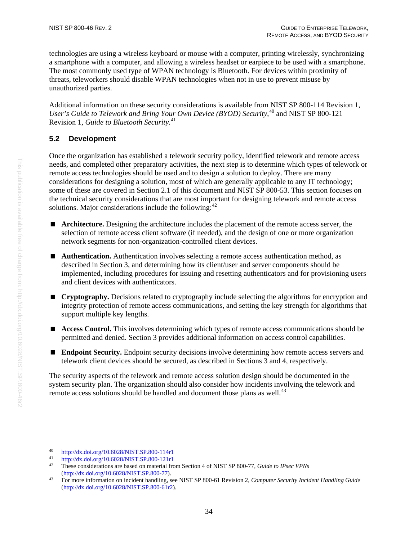technologies are using a wireless keyboard or mouse with a computer, printing wirelessly, synchronizing a smartphone with a computer, and allowing a wireless headset or earpiece to be used with a smartphone. The most commonly used type of WPAN technology is Bluetooth. For devices within proximity of threats, teleworkers should disable WPAN technologies when not in use to prevent misuse by unauthorized parties.

Additional information on these security considerations is available from NIST SP 800-114 Revision 1, *User's Guide to Telework and Bring Your Own Device (BYOD) Security*, [40](#page-43-1) and NIST SP 800-121 Revision 1, *Guide to Bluetooth Security*. [41](#page-43-2)

#### <span id="page-43-0"></span>**5.2 Development**

Once the organization has established a telework security policy, identified telework and remote access needs, and completed other preparatory activities, the next step is to determine which types of telework or remote access technologies should be used and to design a solution to deploy. There are many considerations for designing a solution, most of which are generally applicable to any IT technology; some of these are covered in Section [2.1](#page-11-1) of this document and NIST SP 800-53. This section focuses on the technical security considerations that are most important for designing telework and remote access solutions. Major considerations include the following: $42$ 

- **Architecture.** Designing the architecture includes the placement of the remote access server, the selection of remote access client software (if needed), and the design of one or more organization network segments for non-organization-controlled client devices.
- **Authentication.** Authentication involves selecting a remote access authentication method, as described in Section [3,](#page-22-0) and determining how its client/user and server components should be implemented, including procedures for issuing and resetting authenticators and for provisioning users and client devices with authenticators.
- **Cryptography.** Decisions related to cryptography include selecting the algorithms for encryption and integrity protection of remote access communications, and setting the key strength for algorithms that support multiple key lengths.
- **Access Control.** This involves determining which types of remote access communications should be permitted and denied. Section [3](#page-22-0) provides additional information on access control capabilities.
- **Endpoint Security.** Endpoint security decisions involve determining how remote access servers and telework client devices should be secured, as described in Sections [3](#page-22-0) and [4,](#page-30-0) respectively.

The security aspects of the telework and remote access solution design should be documented in the system security plan. The organization should also consider how incidents involving the telework and remote access solutions should be handled and document those plans as well.<sup>[43](#page-43-4)</sup>

<span id="page-43-1"></span> $\frac{40}{41}$  http://dx.doi.org/10.6028/NIST.SP.800-1141

<span id="page-43-3"></span><span id="page-43-2"></span> $\frac{\text{http://dx.doi.org/10.6028/NIST.SP.800-12111}}{\text{These considerations are based on material for the system.}}$ 

<sup>42</sup> These considerations are based on material from Section 4 of NIST SP 800-77, *Guide to IPsec VPNs* [\(http://dx.doi.org/10.6028/NIST.SP.800-77\)](http://dx.doi.org/10.6028/NIST.SP.800-77).

<span id="page-43-4"></span><sup>43</sup> For more information on incident handling, see NIST SP 800-61 Revision 2, *Computer Security Incident Handling Guide* [\(http://dx.doi.org/10.6028/NIST.SP.800-61r2\)](http://dx.doi.org/10.6028/NIST.SP.800-61r2).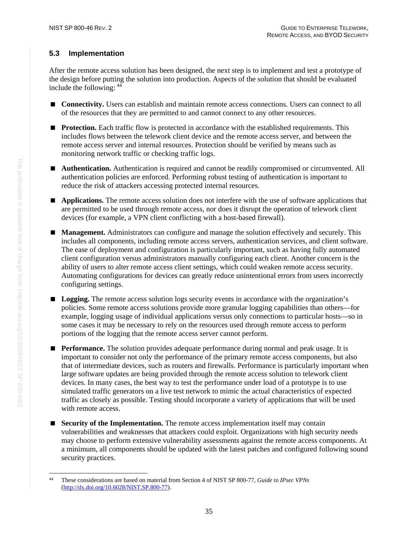#### <span id="page-44-0"></span>**5.3 Implementation**

After the remote access solution has been designed, the next step is to implement and test a prototype of the design before putting the solution into production. Aspects of the solution that should be evaluated include the following: [44](#page-44-1)

- **Connectivity.** Users can establish and maintain remote access connections. Users can connect to all of the resources that they are permitted to and cannot connect to any other resources.
- **Protection.** Each traffic flow is protected in accordance with the established requirements. This includes flows between the telework client device and the remote access server, and between the remote access server and internal resources. Protection should be verified by means such as monitoring network traffic or checking traffic logs.
- **Authentication.** Authentication is required and cannot be readily compromised or circumvented. All authentication policies are enforced. Performing robust testing of authentication is important to reduce the risk of attackers accessing protected internal resources.
- **Applications.** The remote access solution does not interfere with the use of software applications that are permitted to be used through remote access, nor does it disrupt the operation of telework client devices (for example, a VPN client conflicting with a host-based firewall).
- **Management.** Administrators can configure and manage the solution effectively and securely. This includes all components, including remote access servers, authentication services, and client software. The ease of deployment and configuration is particularly important, such as having fully automated client configuration versus administrators manually configuring each client. Another concern is the ability of users to alter remote access client settings, which could weaken remote access security. Automating configurations for devices can greatly reduce unintentional errors from users incorrectly configuring settings.
- **Logging.** The remote access solution logs security events in accordance with the organization's policies. Some remote access solutions provide more granular logging capabilities than others—for example, logging usage of individual applications versus only connections to particular hosts—so in some cases it may be necessary to rely on the resources used through remote access to perform portions of the logging that the remote access server cannot perform.
- **Performance.** The solution provides adequate performance during normal and peak usage. It is important to consider not only the performance of the primary remote access components, but also that of intermediate devices, such as routers and firewalls. Performance is particularly important when large software updates are being provided through the remote access solution to telework client devices. In many cases, the best way to test the performance under load of a prototype is to use simulated traffic generators on a live test network to mimic the actual characteristics of expected traffic as closely as possible. Testing should incorporate a variety of applications that will be used with remote access.
- **Security of the Implementation.** The remote access implementation itself may contain vulnerabilities and weaknesses that attackers could exploit. Organizations with high security needs may choose to perform extensive vulnerability assessments against the remote access components. At a minimum, all components should be updated with the latest patches and configured following sound security practices.

<span id="page-44-1"></span> <sup>44</sup> These considerations are based on material from Section 4 of NIST SP 800-77, *Guide to IPsec VPNs* [\(http://dx.doi.org/10.6028/NIST.SP.800-77\)](http://dx.doi.org/10.6028/NIST.SP.800-77).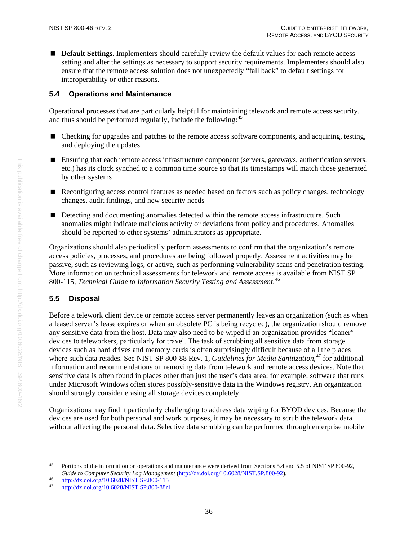**Default Settings.** Implementers should carefully review the default values for each remote access setting and alter the settings as necessary to support security requirements. Implementers should also ensure that the remote access solution does not unexpectedly "fall back" to default settings for interoperability or other reasons.

#### <span id="page-45-0"></span>**5.4 Operations and Maintenance**

Operational processes that are particularly helpful for maintaining telework and remote access security, and thus should be performed regularly, include the following:<sup>[45](#page-45-2)</sup>

- Checking for upgrades and patches to the remote access software components, and acquiring, testing, and deploying the updates
- Ensuring that each remote access infrastructure component (servers, gateways, authentication servers, etc.) has its clock synched to a common time source so that its timestamps will match those generated by other systems
- Reconfiguring access control features as needed based on factors such as policy changes, technology changes, audit findings, and new security needs
- Detecting and documenting anomalies detected within the remote access infrastructure. Such anomalies might indicate malicious activity or deviations from policy and procedures. Anomalies should be reported to other systems' administrators as appropriate.

Organizations should also periodically perform assessments to confirm that the organization's remote access policies, processes, and procedures are being followed properly. Assessment activities may be passive, such as reviewing logs, or active, such as performing vulnerability scans and penetration testing. More information on technical assessments for telework and remote access is available from NIST SP 800-115, *Technical Guide to Information Security Testing and Assessment*. [46](#page-45-3)

#### <span id="page-45-1"></span>**5.5 Disposal**

Before a telework client device or remote access server permanently leaves an organization (such as when a leased server's lease expires or when an obsolete PC is being recycled), the organization should remove any sensitive data from the host. Data may also need to be wiped if an organization provides "loaner" devices to teleworkers, particularly for travel. The task of scrubbing all sensitive data from storage devices such as hard drives and memory cards is often surprisingly difficult because of all the places where such data resides. See NIST SP 800-88 Rev. 1, *Guidelines for Media Sanitization*, [47](#page-45-4) for additional information and recommendations on removing data from telework and remote access devices. Note that sensitive data is often found in places other than just the user's data area; for example, software that runs under Microsoft Windows often stores possibly-sensitive data in the Windows registry. An organization should strongly consider erasing all storage devices completely.

Organizations may find it particularly challenging to address data wiping for BYOD devices. Because the devices are used for both personal and work purposes, it may be necessary to scrub the telework data without affecting the personal data. Selective data scrubbing can be performed through enterprise mobile

This publication is available free of charge from: http://dx.doi.org/10.6028/NIST.SP.800-46r2

This publication is available free of charge from: http://dx.doi.org/10.6028/NIST.SP.800-46r2

<span id="page-45-2"></span><sup>&</sup>lt;sup>45</sup> Portions of the information on operations and maintenance were derived from Sections 5.4 and 5.5 of NIST SP 800-92, *Guide to Computer Security Log Management* [\(http://dx.doi.org/10.6028/NIST.SP.800-92\)](http://dx.doi.org/10.6028/NIST.SP.800-92).<br> <http://dx.doi.org/10.6028/NIST.SP.800-115><br> **http://dx.doi.org/10.6028/NIST.SP.800-92-1** 

<span id="page-45-3"></span>

<span id="page-45-4"></span><http://dx.doi.org/10.6028/NIST.SP.800-88r1>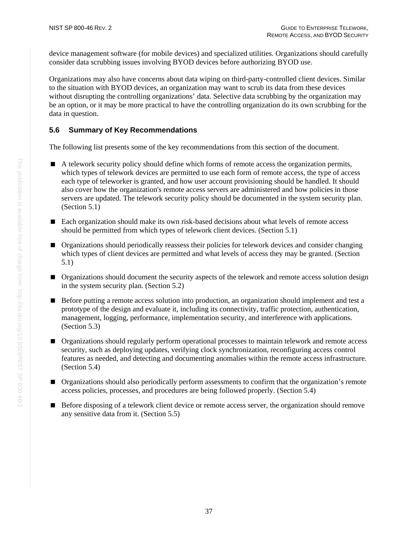device management software (for mobile devices) and specialized utilities. Organizations should carefully consider data scrubbing issues involving BYOD devices before authorizing BYOD use.

Organizations may also have concerns about data wiping on third-party-controlled client devices. Similar to the situation with BYOD devices, an organization may want to scrub its data from these devices without disrupting the controlling organizations' data. Selective data scrubbing by the organization may be an option, or it may be more practical to have the controlling organization do its own scrubbing for the data in question.

#### <span id="page-46-0"></span>**5.6 Summary of Key Recommendations**

The following list presents some of the key recommendations from this section of the document.

- A telework security policy should define which forms of remote access the organization permits, which types of telework devices are permitted to use each form of remote access, the type of access each type of teleworker is granted, and how user account provisioning should be handled. It should also cover how the organization's remote access servers are administered and how policies in those servers are updated. The telework security policy should be documented in the system security plan. (Section [5.1\)](#page-39-0)
- Each organization should make its own risk-based decisions about what levels of remote access should be permitted from which types of telework client devices. (Section [5.1\)](#page-39-0)
- Organizations should periodically reassess their policies for telework devices and consider changing which types of client devices are permitted and what levels of access they may be granted. (Section [5.1\)](#page-39-0)
- **Organizations should document the security aspects of the telework and remote access solution design** in the system security plan. (Section [5.2\)](#page-43-0)
- Before putting a remote access solution into production, an organization should implement and test a prototype of the design and evaluate it, including its connectivity, traffic protection, authentication, management, logging, performance, implementation security, and interference with applications. (Section [5.3\)](#page-44-0)
- **Organizations should regularly perform operational processes to maintain telework and remote access** security, such as deploying updates, verifying clock synchronization, reconfiguring access control features as needed, and detecting and documenting anomalies within the remote access infrastructure. (Section [5.4\)](#page-45-0)
- Organizations should also periodically perform assessments to confirm that the organization's remote access policies, processes, and procedures are being followed properly. (Section [5.4\)](#page-45-0)
- Before disposing of a telework client device or remote access server, the organization should remove any sensitive data from it. (Section [5.5\)](#page-45-1)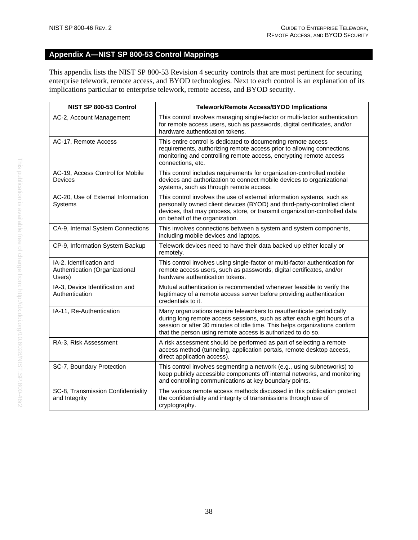### <span id="page-47-0"></span>**Appendix A—NIST SP 800-53 Control Mappings**

This appendix lists the NIST SP 800-53 Revision 4 security controls that are most pertinent for securing enterprise telework, remote access, and BYOD technologies. Next to each control is an explanation of its implications particular to enterprise telework, remote access, and BYOD security.

| NIST SP 800-53 Control                                               | <b>Telework/Remote Access/BYOD Implications</b>                                                                                                                                                                                                                                               |
|----------------------------------------------------------------------|-----------------------------------------------------------------------------------------------------------------------------------------------------------------------------------------------------------------------------------------------------------------------------------------------|
| AC-2, Account Management                                             | This control involves managing single-factor or multi-factor authentication<br>for remote access users, such as passwords, digital certificates, and/or<br>hardware authentication tokens.                                                                                                    |
| AC-17, Remote Access                                                 | This entire control is dedicated to documenting remote access<br>requirements, authorizing remote access prior to allowing connections,<br>monitoring and controlling remote access, encrypting remote access<br>connections, etc.                                                            |
| AC-19, Access Control for Mobile<br><b>Devices</b>                   | This control includes requirements for organization-controlled mobile<br>devices and authorization to connect mobile devices to organizational<br>systems, such as through remote access.                                                                                                     |
| AC-20, Use of External Information<br>Systems                        | This control involves the use of external information systems, such as<br>personally owned client devices (BYOD) and third-party-controlled client<br>devices, that may process, store, or transmit organization-controlled data<br>on behalf of the organization.                            |
| CA-9, Internal System Connections                                    | This involves connections between a system and system components,<br>including mobile devices and laptops.                                                                                                                                                                                    |
| CP-9, Information System Backup                                      | Telework devices need to have their data backed up either locally or<br>remotely.                                                                                                                                                                                                             |
| IA-2, Identification and<br>Authentication (Organizational<br>Users) | This control involves using single-factor or multi-factor authentication for<br>remote access users, such as passwords, digital certificates, and/or<br>hardware authentication tokens.                                                                                                       |
| IA-3, Device Identification and<br>Authentication                    | Mutual authentication is recommended whenever feasible to verify the<br>legitimacy of a remote access server before providing authentication<br>credentials to it.                                                                                                                            |
| IA-11, Re-Authentication                                             | Many organizations require teleworkers to reauthenticate periodically<br>during long remote access sessions, such as after each eight hours of a<br>session or after 30 minutes of idle time. This helps organizations confirm<br>that the person using remote access is authorized to do so. |
| RA-3, Risk Assessment                                                | A risk assessment should be performed as part of selecting a remote<br>access method (tunneling, application portals, remote desktop access,<br>direct application access).                                                                                                                   |
| SC-7, Boundary Protection                                            | This control involves segmenting a network (e.g., using subnetworks) to<br>keep publicly accessible components off internal networks, and monitoring<br>and controlling communications at key boundary points.                                                                                |
| SC-8, Transmission Confidentiality<br>and Integrity                  | The various remote access methods discussed in this publication protect<br>the confidentiality and integrity of transmissions through use of<br>cryptography.                                                                                                                                 |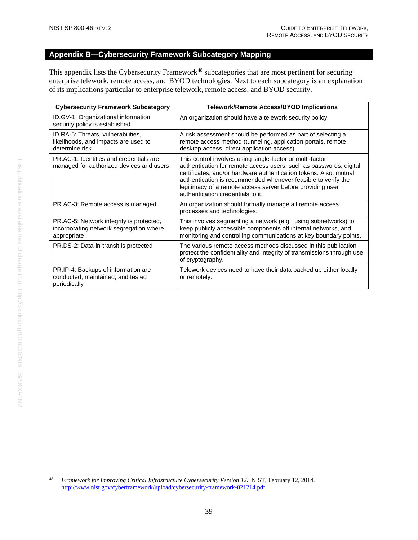#### <span id="page-48-0"></span>**Appendix B—Cybersecurity Framework Subcategory Mapping**

This appendix lists the Cybersecurity Framework<sup>[48](#page-48-1)</sup> subcategories that are most pertinent for securing enterprise telework, remote access, and BYOD technologies. Next to each subcategory is an explanation of its implications particular to enterprise telework, remote access, and BYOD security.

| <b>Cybersecurity Framework Subcategory</b>                                                         | <b>Telework/Remote Access/BYOD Implications</b>                                                                                                                                                                                                                                                                                                                          |
|----------------------------------------------------------------------------------------------------|--------------------------------------------------------------------------------------------------------------------------------------------------------------------------------------------------------------------------------------------------------------------------------------------------------------------------------------------------------------------------|
| ID.GV-1: Organizational information<br>security policy is established                              | An organization should have a telework security policy.                                                                                                                                                                                                                                                                                                                  |
| ID.RA-5: Threats, vulnerabilities,<br>likelihoods, and impacts are used to<br>determine risk       | A risk assessment should be performed as part of selecting a<br>remote access method (tunneling, application portals, remote<br>desktop access, direct application access).                                                                                                                                                                                              |
| PR AC-1: Identities and credentials are<br>managed for authorized devices and users                | This control involves using single-factor or multi-factor<br>authentication for remote access users, such as passwords, digital<br>certificates, and/or hardware authentication tokens. Also, mutual<br>authentication is recommended whenever feasible to verify the<br>legitimacy of a remote access server before providing user<br>authentication credentials to it. |
| PR.AC-3: Remote access is managed                                                                  | An organization should formally manage all remote access<br>processes and technologies.                                                                                                                                                                                                                                                                                  |
| PR.AC-5: Network integrity is protected,<br>incorporating network segregation where<br>appropriate | This involves segmenting a network (e.g., using subnetworks) to<br>keep publicly accessible components off internal networks, and<br>monitoring and controlling communications at key boundary points.                                                                                                                                                                   |
| PR.DS-2: Data-in-transit is protected                                                              | The various remote access methods discussed in this publication<br>protect the confidentiality and integrity of transmissions through use<br>of cryptography.                                                                                                                                                                                                            |
| PR.IP-4: Backups of information are<br>conducted, maintained, and tested<br>periodically           | Telework devices need to have their data backed up either locally<br>or remotely.                                                                                                                                                                                                                                                                                        |

<span id="page-48-1"></span> <sup>48</sup> *Framework for Improving Critical Infrastructure Cybersecurity Version 1.0*, NIST, February 12, 2014. <http://www.nist.gov/cyberframework/upload/cybersecurity-framework-021214.pdf>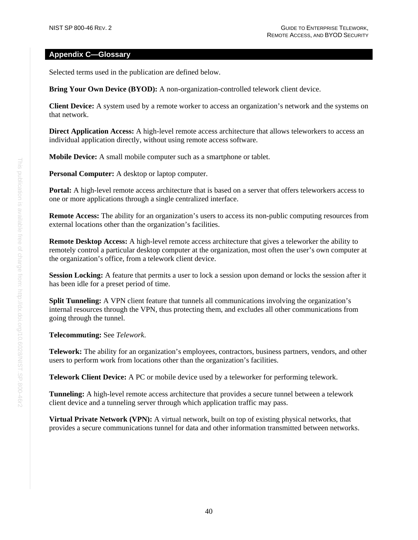#### <span id="page-49-0"></span>**Appendix C—Glossary**

Selected terms used in the publication are defined below.

**Bring Your Own Device (BYOD):** A non-organization-controlled telework client device.

**Client Device:** A system used by a remote worker to access an organization's network and the systems on that network.

**Direct Application Access:** A high-level remote access architecture that allows teleworkers to access an individual application directly, without using remote access software.

**Mobile Device:** A small mobile computer such as a smartphone or tablet.

**Personal Computer:** A desktop or laptop computer.

**Portal:** A high-level remote access architecture that is based on a server that offers teleworkers access to one or more applications through a single centralized interface.

**Remote Access:** The ability for an organization's users to access its non-public computing resources from external locations other than the organization's facilities.

**Remote Desktop Access:** A high-level remote access architecture that gives a teleworker the ability to remotely control a particular desktop computer at the organization, most often the user's own computer at the organization's office, from a telework client device.

**Session Locking:** A feature that permits a user to lock a session upon demand or locks the session after it has been idle for a preset period of time.

**Split Tunneling:** A VPN client feature that tunnels all communications involving the organization's internal resources through the VPN, thus protecting them, and excludes all other communications from going through the tunnel.

**Telecommuting:** See *[Telework](#page-49-1)*.

<span id="page-49-1"></span>**Telework:** The ability for an organization's employees, contractors, business partners, vendors, and other users to perform work from locations other than the organization's facilities.

**Telework Client Device:** A PC or mobile device used by a teleworker for performing telework.

**Tunneling:** A high-level remote access architecture that provides a secure tunnel between a telework client device and a tunneling server through which application traffic may pass.

**Virtual Private Network (VPN):** A virtual network, built on top of existing physical networks, that provides a secure communications tunnel for data and other information transmitted between networks.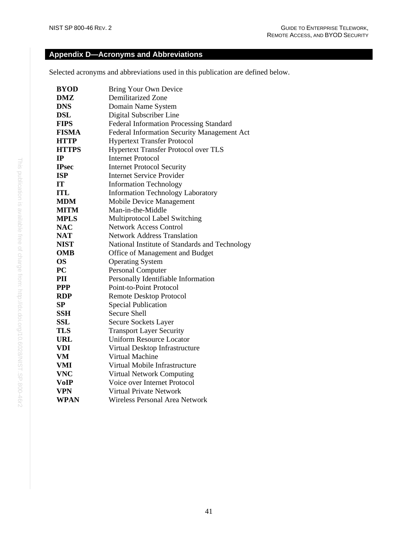### <span id="page-50-0"></span>**Appendix D—Acronyms and Abbreviations**

Selected acronyms and abbreviations used in this publication are defined below.

| <b>BYOD</b>  | Bring Your Own Device                          |
|--------------|------------------------------------------------|
| <b>DMZ</b>   | Demilitarized Zone                             |
| <b>DNS</b>   | Domain Name System                             |
| <b>DSL</b>   | Digital Subscriber Line                        |
| <b>FIPS</b>  | <b>Federal Information Processing Standard</b> |
| <b>FISMA</b> | Federal Information Security Management Act    |
| <b>HTTP</b>  | <b>Hypertext Transfer Protocol</b>             |
| <b>HTTPS</b> | Hypertext Transfer Protocol over TLS           |
| IP           | <b>Internet Protocol</b>                       |
| <b>IPsec</b> | <b>Internet Protocol Security</b>              |
| <b>ISP</b>   | <b>Internet Service Provider</b>               |
| <b>IT</b>    | <b>Information Technology</b>                  |
| <b>ITL</b>   | <b>Information Technology Laboratory</b>       |
| <b>MDM</b>   | Mobile Device Management                       |
| <b>MITM</b>  | Man-in-the-Middle                              |
| <b>MPLS</b>  | Multiprotocol Label Switching                  |
| <b>NAC</b>   | <b>Network Access Control</b>                  |
| <b>NAT</b>   | <b>Network Address Translation</b>             |
| <b>NIST</b>  | National Institute of Standards and Technology |
| <b>OMB</b>   | Office of Management and Budget                |
| <b>OS</b>    | <b>Operating System</b>                        |
| PC           | <b>Personal Computer</b>                       |
| PII          | Personally Identifiable Information            |
| <b>PPP</b>   | Point-to-Point Protocol                        |
| <b>RDP</b>   | <b>Remote Desktop Protocol</b>                 |
| SP           | <b>Special Publication</b>                     |
| <b>SSH</b>   | <b>Secure Shell</b>                            |
| <b>SSL</b>   | Secure Sockets Layer                           |
| TLS          | <b>Transport Layer Security</b>                |
| <b>URL</b>   | <b>Uniform Resource Locator</b>                |
| <b>VDI</b>   | Virtual Desktop Infrastructure                 |
| VM           | <b>Virtual Machine</b>                         |
| VMI          | Virtual Mobile Infrastructure                  |
| <b>VNC</b>   | <b>Virtual Network Computing</b>               |
| VoIP         | Voice over Internet Protocol                   |
| <b>VPN</b>   | Virtual Private Network                        |
| <b>WPAN</b>  | Wireless Personal Area Network                 |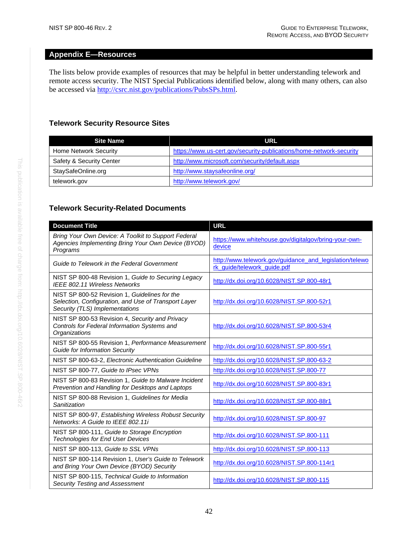#### <span id="page-51-0"></span>**Appendix E—Resources**

The lists below provide examples of resources that may be helpful in better understanding telework and remote access security. The NIST Special Publications identified below, along with many others, can also be accessed via [http://csrc.nist.gov/publications/PubsSPs.html.](http://csrc.nist.gov/publications/PubsSPs.html)

#### **Telework Security Resource Sites**

| Site Name                    | URL                                                                 |
|------------------------------|---------------------------------------------------------------------|
| <b>Home Network Security</b> | https://www.us-cert.gov/security-publications/home-network-security |
| Safety & Security Center     | http://www.microsoft.com/security/default.aspx                      |
| StaySafeOnline.org           | http://www.staysafeonline.org/                                      |
| telework.gov                 | http://www.telework.gov/                                            |

#### **Telework Security-Related Documents**

| <b>Document Title</b>                                                                                                                   | <b>URL</b>                                                                             |
|-----------------------------------------------------------------------------------------------------------------------------------------|----------------------------------------------------------------------------------------|
| Bring Your Own Device: A Toolkit to Support Federal<br>Agencies Implementing Bring Your Own Device (BYOD)<br>Programs                   | https://www.whitehouse.gov/digitalgov/bring-your-own-<br>device                        |
| Guide to Telework in the Federal Government                                                                                             | http://www.telework.gov/guidance_and_legislation/telewo<br>rk_quide/telework_quide.pdf |
| NIST SP 800-48 Revision 1, Guide to Securing Legacy<br>IFFF 802.11 Wireless Networks                                                    | http://dx.doi.org/10.6028/NIST.SP.800-48r1                                             |
| NIST SP 800-52 Revision 1, Guidelines for the<br>Selection, Configuration, and Use of Transport Layer<br>Security (TLS) Implementations | http://dx.doi.org/10.6028/NIST.SP.800-52r1                                             |
| NIST SP 800-53 Revision 4, Security and Privacy<br>Controls for Federal Information Systems and<br>Organizations                        | http://dx.doi.org/10.6028/NIST.SP.800-53r4                                             |
| NIST SP 800-55 Revision 1, Performance Measurement<br><b>Guide for Information Security</b>                                             | http://dx.doi.org/10.6028/NIST.SP.800-55r1                                             |
| NIST SP 800-63-2, Electronic Authentication Guideline                                                                                   | http://dx.doi.org/10.6028/NIST.SP.800-63-2                                             |
| NIST SP 800-77, Guide to IPsec VPNs                                                                                                     | http://dx.doi.org/10.6028/NIST.SP.800-77                                               |
| NIST SP 800-83 Revision 1, Guide to Malware Incident<br>Prevention and Handling for Desktops and Laptops                                | http://dx.doi.org/10.6028/NIST.SP.800-83r1                                             |
| NIST SP 800-88 Revision 1, Guidelines for Media<br>Sanitization                                                                         | http://dx.doi.org/10.6028/NIST.SP.800-88r1                                             |
| NIST SP 800-97, Establishing Wireless Robust Security<br>Networks: A Guide to IEEE 802.11i                                              | http://dx.doi.org/10.6028/NIST.SP.800-97                                               |
| NIST SP 800-111, Guide to Storage Encryption<br><b>Technologies for End User Devices</b>                                                | http://dx.doi.org/10.6028/NIST.SP.800-111                                              |
| NIST SP 800-113, Guide to SSL VPNs                                                                                                      | http://dx.doi.org/10.6028/NIST.SP.800-113                                              |
| NIST SP 800-114 Revision 1, User's Guide to Telework<br>and Bring Your Own Device (BYOD) Security                                       | http://dx.doi.org/10.6028/NIST.SP.800-114r1                                            |
| NIST SP 800-115, Technical Guide to Information<br><b>Security Testing and Assessment</b>                                               | http://dx.doi.org/10.6028/NIST.SP.800-115                                              |